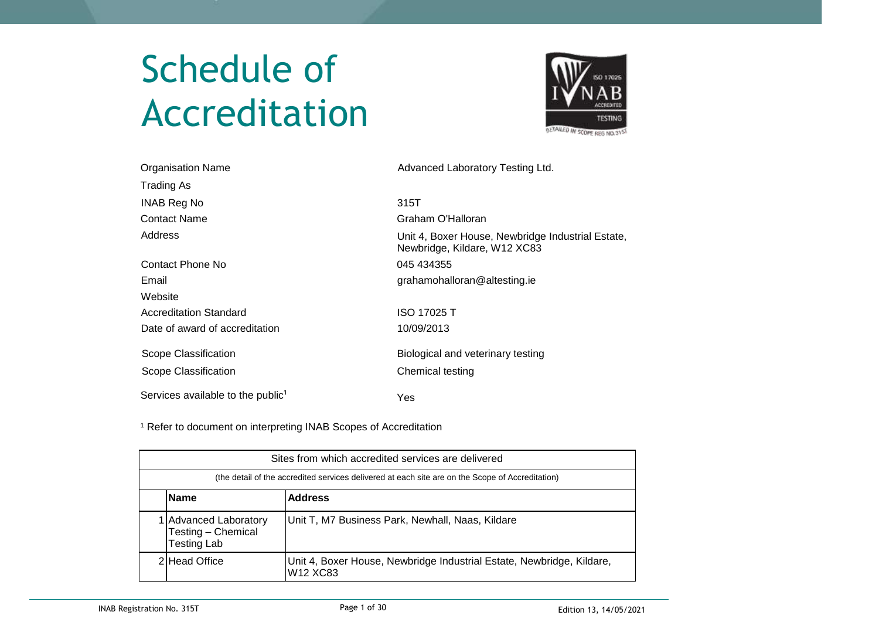# Schedule of Accreditation



| <b>Organisation Name</b>                      | Advanced Laboratory Testing Ltd.                                                  |
|-----------------------------------------------|-----------------------------------------------------------------------------------|
| Trading As                                    |                                                                                   |
| <b>INAB Reg No</b>                            | 315T                                                                              |
| <b>Contact Name</b>                           | Graham O'Halloran                                                                 |
| Address                                       | Unit 4, Boxer House, Newbridge Industrial Estate,<br>Newbridge, Kildare, W12 XC83 |
| Contact Phone No                              | 045 434355                                                                        |
| Email                                         | grahamohalloran@altesting.ie                                                      |
| Website                                       |                                                                                   |
| <b>Accreditation Standard</b>                 | ISO 17025 T                                                                       |
| Date of award of accreditation                | 10/09/2013                                                                        |
| Scope Classification                          | Biological and veterinary testing                                                 |
| Scope Classification                          | Chemical testing                                                                  |
| Services available to the public <sup>1</sup> | Yes                                                                               |

<sup>1</sup> Refer to document on interpreting INAB Scopes of Accreditation

| Sites from which accredited services are delivered                                                                          |                                                  |  |  |  |  |  |  |  |  |  |
|-----------------------------------------------------------------------------------------------------------------------------|--------------------------------------------------|--|--|--|--|--|--|--|--|--|
| (the detail of the accredited services delivered at each site are on the Scope of Accreditation)                            |                                                  |  |  |  |  |  |  |  |  |  |
| <b>Address</b><br><b>Name</b>                                                                                               |                                                  |  |  |  |  |  |  |  |  |  |
| 1 Advanced Laboratory<br>Testing - Chemical<br>Testing Lab                                                                  | Unit T, M7 Business Park, Newhall, Naas, Kildare |  |  |  |  |  |  |  |  |  |
| 2 Head Office<br>Unit 4, Boxer House, Newbridge Industrial Estate, Newbridge, Kildare,<br>W <sub>12</sub> X <sub>C</sub> 83 |                                                  |  |  |  |  |  |  |  |  |  |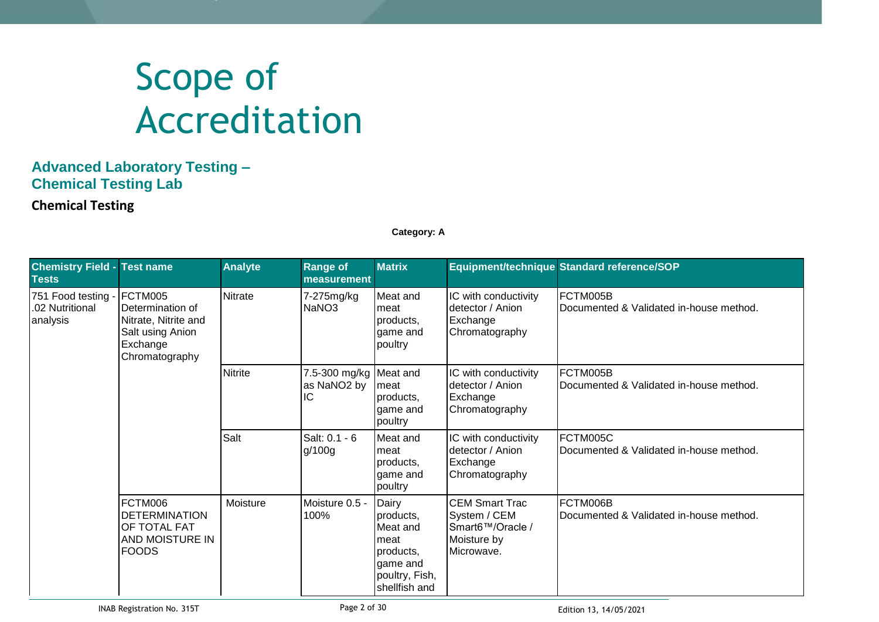# Scope of Accreditation

### **Advanced Laboratory Testing – Chemical Testing Lab**

**Chemical Testing**

**Category: A**

| <b>Chemistry Field - Test name</b><br><b>Tests</b> |                                                                                                       | <b>Analyte</b> | <b>Range of</b><br>measurement                          | <b>Matrix</b>                                                                                      |                                                                                        | Equipment/technique Standard reference/SOP                      |
|----------------------------------------------------|-------------------------------------------------------------------------------------------------------|----------------|---------------------------------------------------------|----------------------------------------------------------------------------------------------------|----------------------------------------------------------------------------------------|-----------------------------------------------------------------|
| 751 Food testing -<br>.02 Nutritional<br>analysis  | FCTM005<br>Determination of<br>Nitrate, Nitrite and<br>Salt using Anion<br>Exchange<br>Chromatography | Nitrate        | 7-275mg/kg<br>NaNO <sub>3</sub>                         | Meat and<br>meat<br>products,<br>game and<br>poultry                                               | IC with conductivity<br>detector / Anion<br>Exchange<br>Chromatography                 | FCTM005B<br>Documented & Validated in-house method.             |
|                                                    |                                                                                                       | <b>Nitrite</b> | 7.5-300 mg/kg Meat and<br>as NaNO <sub>2</sub> by<br>IC | meat<br>products,<br>game and<br>poultry                                                           | IC with conductivity<br>detector / Anion<br>Exchange<br>Chromatography                 | FCTM005B<br><b>IDocumented &amp; Validated in-house method.</b> |
|                                                    |                                                                                                       | Salt           | Salt: 0.1 - 6<br>g/100g                                 | Meat and<br>meat<br>products.<br>game and<br>poultry                                               | IC with conductivity<br>detector / Anion<br>Exchange<br>Chromatography                 | FCTM005C<br>Documented & Validated in-house method.             |
|                                                    | FCTM006<br>DETERMINATION<br>OF TOTAL FAT<br>AND MOISTURE IN<br><b>FOODS</b>                           | Moisture       | Moisture 0.5 -<br>100%                                  | Dairy<br>products.<br>Meat and<br>meat<br>products,<br>game and<br>poultry, Fish,<br>shellfish and | <b>CEM Smart Trac</b><br>System / CEM<br>Smart6™/Oracle /<br>Moisture by<br>Microwave. | FCTM006B<br>Documented & Validated in-house method.             |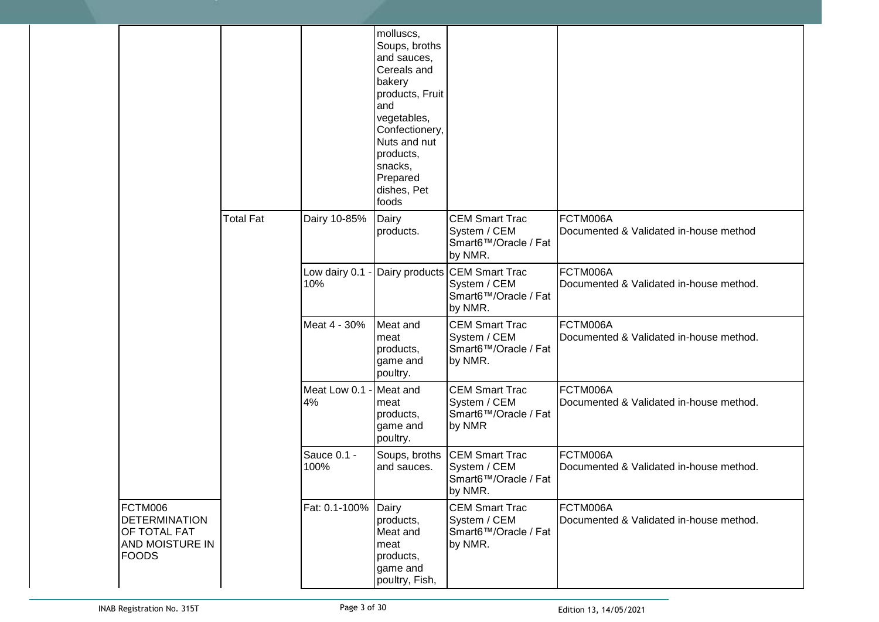|                                                                                    |                  |                      | molluscs,<br>Soups, broths<br>and sauces,<br>Cereals and<br>bakery<br>products, Fruit<br>and<br>vegetables,<br>Confectionery,<br>Nuts and nut<br>products,<br>snacks,<br>Prepared<br>dishes, Pet<br>foods |                                                                                  |                                                     |
|------------------------------------------------------------------------------------|------------------|----------------------|-----------------------------------------------------------------------------------------------------------------------------------------------------------------------------------------------------------|----------------------------------------------------------------------------------|-----------------------------------------------------|
|                                                                                    | <b>Total Fat</b> | Dairy 10-85%         | Dairy<br>products.                                                                                                                                                                                        | <b>CEM Smart Trac</b><br>System / CEM<br>Smart6™/Oracle / Fat<br>by NMR.         | FCTM006A<br>Documented & Validated in-house method  |
|                                                                                    |                  | Low dairy 0.1<br>10% |                                                                                                                                                                                                           | Dairy products CEM Smart Trac<br>System / CEM<br>Smart6™/Oracle / Fat<br>by NMR. | FCTM006A<br>Documented & Validated in-house method. |
|                                                                                    |                  | Meat 4 - 30%         | Meat and<br>meat<br>products,<br>game and<br>poultry.                                                                                                                                                     | <b>CEM Smart Trac</b><br>System / CEM<br>Smart6™/Oracle / Fat<br>by NMR.         | FCTM006A<br>Documented & Validated in-house method. |
|                                                                                    |                  | Meat Low 0.1<br>4%   | Meat and<br>meat<br>products,<br>game and<br>poultry.                                                                                                                                                     | <b>CEM Smart Trac</b><br>System / CEM<br>Smart6™/Oracle / Fat<br>by NMR          | FCTM006A<br>Documented & Validated in-house method. |
|                                                                                    |                  | Sauce 0.1 -<br>100%  | Soups, broths<br>and sauces.                                                                                                                                                                              | <b>CEM Smart Trac</b><br>System / CEM<br>Smart6™/Oracle / Fat<br>by NMR.         | FCTM006A<br>Documented & Validated in-house method. |
| FCTM006<br><b>DETERMINATION</b><br>OF TOTAL FAT<br>AND MOISTURE IN<br><b>FOODS</b> |                  | Fat: 0.1-100% Dairy  | products,<br>Meat and<br>meat<br>products,<br>game and<br>poultry, Fish,                                                                                                                                  | <b>CEM Smart Trac</b><br>System / CEM<br>Smart6™/Oracle / Fat<br>by NMR.         | FCTM006A<br>Documented & Validated in-house method. |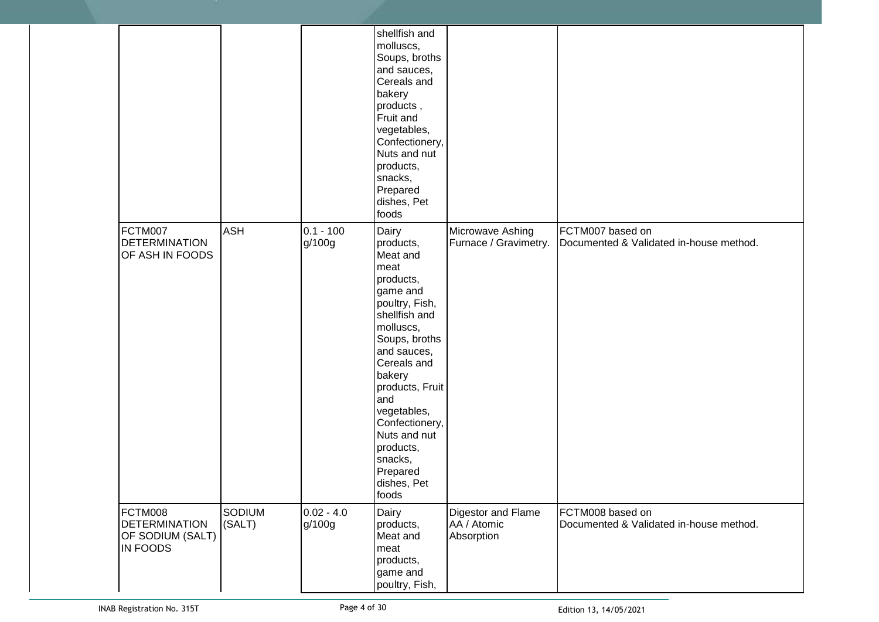|                                                                 |                         |                        | shellfish and<br>molluscs,<br>Soups, broths<br>and sauces,<br>Cereals and<br>bakery<br>products,<br>Fruit and<br>vegetables,<br>Confectionery,<br>Nuts and nut<br>products,<br>snacks,<br>Prepared<br>dishes, Pet<br>foods                                                                                      |                                                 |                                                             |
|-----------------------------------------------------------------|-------------------------|------------------------|-----------------------------------------------------------------------------------------------------------------------------------------------------------------------------------------------------------------------------------------------------------------------------------------------------------------|-------------------------------------------------|-------------------------------------------------------------|
| FCTM007<br><b>DETERMINATION</b><br>OF ASH IN FOODS              | <b>ASH</b>              | $0.1 - 100$<br>g/100g  | Dairy<br>products,<br>Meat and<br>meat<br>products,<br>game and<br>poultry, Fish,<br>shellfish and<br>molluscs,<br>Soups, broths<br>and sauces,<br>Cereals and<br>bakery<br>products, Fruit<br>and<br>vegetables,<br>Confectionery,<br>Nuts and nut<br>products,<br>snacks,<br>Prepared<br>dishes, Pet<br>foods | Microwave Ashing<br>Furnace / Gravimetry.       | FCTM007 based on<br>Documented & Validated in-house method. |
| FCTM008<br><b>DETERMINATION</b><br>OF SODIUM (SALT)<br>IN FOODS | <b>SODIUM</b><br>(SALT) | $0.02 - 4.0$<br>g/100g | Dairy<br>products,<br>Meat and<br>meat<br>products,<br>game and<br>poultry, Fish,                                                                                                                                                                                                                               | Digestor and Flame<br>AA / Atomic<br>Absorption | FCTM008 based on<br>Documented & Validated in-house method. |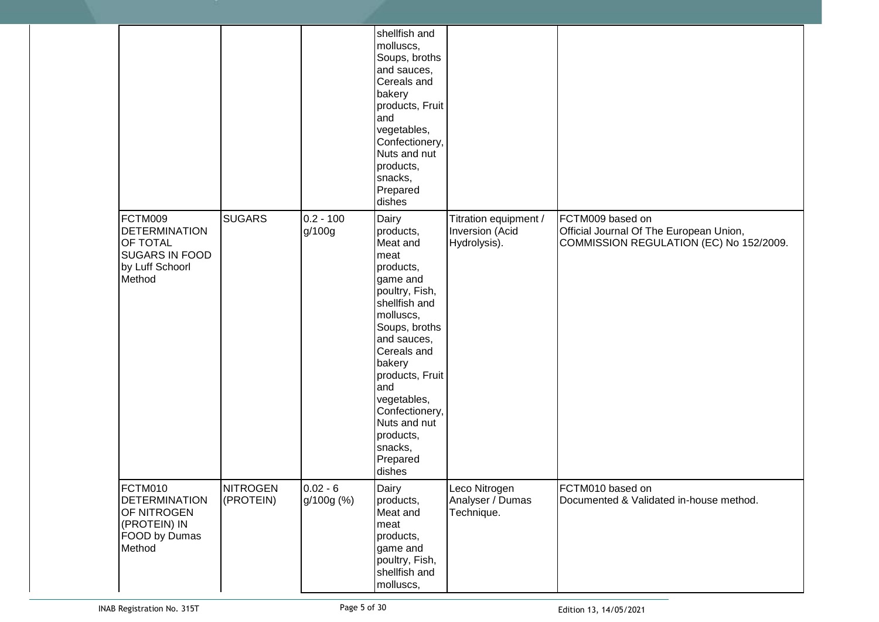| FCTM009<br><b>DETERMINATION</b><br>OF TOTAL                                               | <b>SUGARS</b>                | $0.2 - 100$<br>g/100g    | shellfish and<br>molluscs,<br>Soups, broths<br>and sauces,<br>Cereals and<br>bakery<br>products, Fruit<br>and<br>vegetables,<br>Confectionery,<br>Nuts and nut<br>products,<br>snacks,<br>Prepared<br>dishes<br>Dairy<br>products,<br>Meat and                  | Titration equipment /<br>Inversion (Acid<br>Hydrolysis). | FCTM009 based on<br>Official Journal Of The European Union,<br>COMMISSION REGULATION (EC) No 152/2009. |
|-------------------------------------------------------------------------------------------|------------------------------|--------------------------|-----------------------------------------------------------------------------------------------------------------------------------------------------------------------------------------------------------------------------------------------------------------|----------------------------------------------------------|--------------------------------------------------------------------------------------------------------|
| <b>SUGARS IN FOOD</b><br>by Luff Schoorl<br>Method                                        |                              |                          | meat<br>products,<br>game and<br>poultry, Fish,<br>shellfish and<br>molluscs,<br>Soups, broths<br>and sauces,<br>Cereals and<br>bakery<br>products, Fruit<br>and<br>vegetables,<br>Confectionery,<br>Nuts and nut<br>products,<br>snacks,<br>Prepared<br>dishes |                                                          |                                                                                                        |
| FCTM010<br><b>DETERMINATION</b><br>OF NITROGEN<br>(PROTEIN) IN<br>FOOD by Dumas<br>Method | <b>NITROGEN</b><br>(PROTEIN) | $0.02 - 6$<br>g/100g (%) | Dairy<br>products,<br>Meat and<br>meat<br>products,<br>game and<br>poultry, Fish,<br>shellfish and<br>molluscs,                                                                                                                                                 | Leco Nitrogen<br>Analyser / Dumas<br>Technique.          | FCTM010 based on<br>Documented & Validated in-house method.                                            |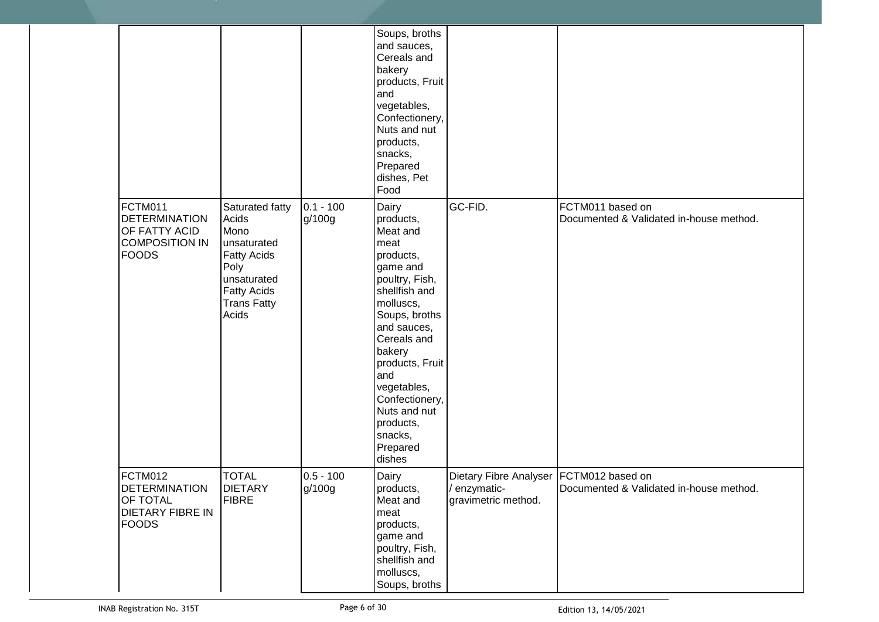|                                                                                           |                                                                                                                                                   |                       | Soups, broths<br>and sauces,<br>Cereals and<br>bakery<br>products, Fruit<br>and<br>vegetables,<br>Confectionery,<br>Nuts and nut<br>products,<br>snacks,<br>Prepared<br>dishes, Pet<br>Food                                                                                                       |                                                                                  |                                                             |
|-------------------------------------------------------------------------------------------|---------------------------------------------------------------------------------------------------------------------------------------------------|-----------------------|---------------------------------------------------------------------------------------------------------------------------------------------------------------------------------------------------------------------------------------------------------------------------------------------------|----------------------------------------------------------------------------------|-------------------------------------------------------------|
| FCTM011<br><b>DETERMINATION</b><br>OF FATTY ACID<br><b>COMPOSITION IN</b><br><b>FOODS</b> | Saturated fatty<br>Acids<br>Mono<br>unsaturated<br><b>Fatty Acids</b><br>Poly<br>unsaturated<br><b>Fatty Acids</b><br><b>Trans Fatty</b><br>Acids | $0.1 - 100$<br>g/100g | Dairy<br>products,<br>Meat and<br>meat<br>products,<br>game and<br>poultry, Fish,<br>shellfish and<br>molluscs,<br>Soups, broths<br>and sauces,<br>Cereals and<br>bakery<br>products, Fruit<br>and<br>vegetables,<br>Confectionery,<br>Nuts and nut<br>products,<br>snacks,<br>Prepared<br>dishes | GC-FID.                                                                          | FCTM011 based on<br>Documented & Validated in-house method. |
| FCTM012<br><b>DETERMINATION</b><br>OF TOTAL<br><b>DIETARY FIBRE IN</b><br><b>FOODS</b>    | <b>TOTAL</b><br><b>DIETARY</b><br><b>FIBRE</b>                                                                                                    | $0.5 - 100$<br>g/100g | Dairy<br>products,<br>Meat and<br>meat<br>products,<br>game and<br>poultry, Fish,<br>shellfish and<br>molluscs,<br>Soups, broths                                                                                                                                                                  | Dietary Fibre Analyser   FCTM012 based on<br>/ enzymatic-<br>gravimetric method. | Documented & Validated in-house method.                     |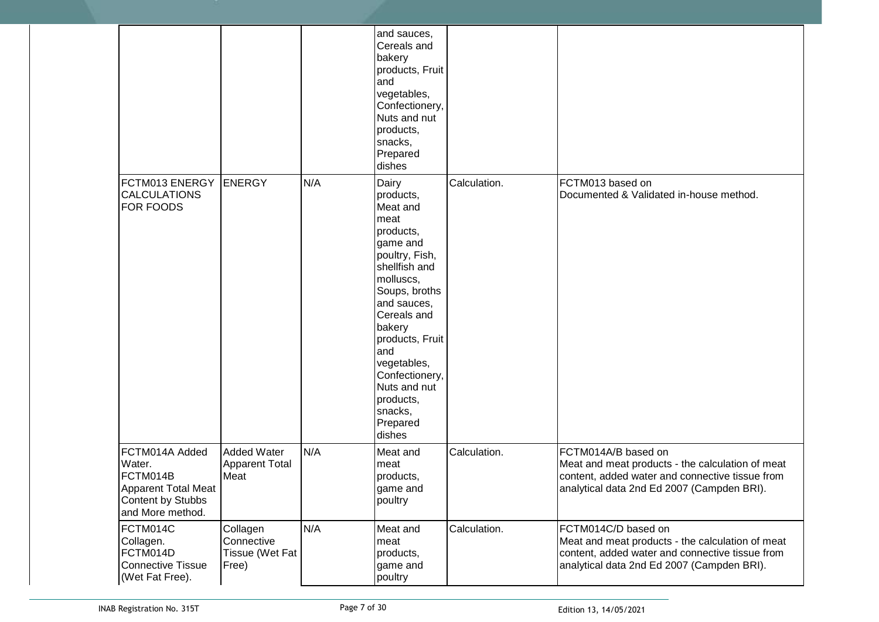|                                                                                                      |                                                     |     | and sauces,<br>Cereals and<br>bakery<br>products, Fruit<br>and<br>vegetables,<br>Confectionery,<br>Nuts and nut<br>products,<br>snacks,<br>Prepared<br>dishes                                                                                                                                     |              |                                                                                                                                                                          |
|------------------------------------------------------------------------------------------------------|-----------------------------------------------------|-----|---------------------------------------------------------------------------------------------------------------------------------------------------------------------------------------------------------------------------------------------------------------------------------------------------|--------------|--------------------------------------------------------------------------------------------------------------------------------------------------------------------------|
| FCTM013 ENERGY<br><b>CALCULATIONS</b><br>FOR FOODS                                                   | <b>ENERGY</b>                                       | N/A | Dairy<br>products,<br>Meat and<br>meat<br>products,<br>game and<br>poultry, Fish,<br>shellfish and<br>molluscs,<br>Soups, broths<br>and sauces,<br>Cereals and<br>bakery<br>products, Fruit<br>and<br>vegetables,<br>Confectionery,<br>Nuts and nut<br>products,<br>snacks,<br>Prepared<br>dishes | Calculation. | FCTM013 based on<br>Documented & Validated in-house method.                                                                                                              |
| FCTM014A Added<br>Water.<br>FCTM014B<br>Apparent Total Meat<br>Content by Stubbs<br>and More method. | <b>Added Water</b><br><b>Apparent Total</b><br>Meat | N/A | Meat and<br>meat<br>products,<br>game and<br>poultry                                                                                                                                                                                                                                              | Calculation. | FCTM014A/B based on<br>Meat and meat products - the calculation of meat<br>content, added water and connective tissue from<br>analytical data 2nd Ed 2007 (Campden BRI). |
| FCTM014C<br>Collagen.<br>FCTM014D<br><b>Connective Tissue</b><br>(Wet Fat Free).                     | Collagen<br>Connective<br>Tissue (Wet Fat<br>Free)  | N/A | Meat and<br>meat<br>products,<br>game and<br>poultry                                                                                                                                                                                                                                              | Calculation. | FCTM014C/D based on<br>Meat and meat products - the calculation of meat<br>content, added water and connective tissue from<br>analytical data 2nd Ed 2007 (Campden BRI). |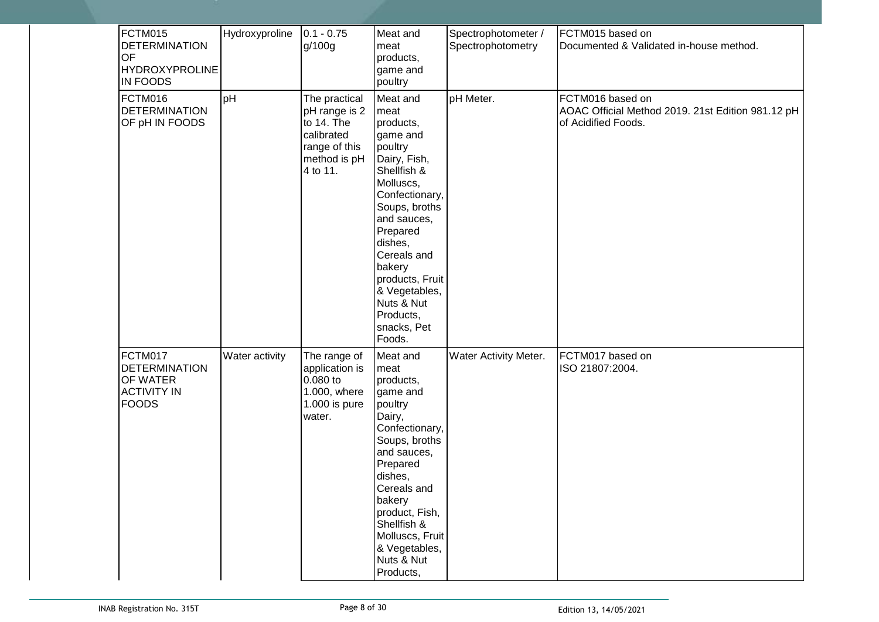| FCTM015<br><b>DETERMINATION</b><br>OF<br><b>HYDROXYPROLINE</b><br>IN FOODS        | Hydroxyproline | $0.1 - 0.75$<br>g/100g                                                                                  | Meat and<br>meat<br>products,<br>game and<br>poultry                                                                                                                                                                                                                                       | Spectrophotometer /<br>Spectrophotometry | FCTM015 based on<br>Documented & Validated in-house method.                                  |
|-----------------------------------------------------------------------------------|----------------|---------------------------------------------------------------------------------------------------------|--------------------------------------------------------------------------------------------------------------------------------------------------------------------------------------------------------------------------------------------------------------------------------------------|------------------------------------------|----------------------------------------------------------------------------------------------|
| FCTM016<br><b>DETERMINATION</b><br>OF pH IN FOODS                                 | pH             | The practical<br>pH range is 2<br>to 14. The<br>calibrated<br>range of this<br>method is pH<br>4 to 11. | Meat and<br>meat<br>products,<br>game and<br>poultry<br>Dairy, Fish,<br>Shellfish &<br>Molluscs,<br>Confectionary,<br>Soups, broths<br>and sauces,<br>Prepared<br>dishes,<br>Cereals and<br>bakery<br>products, Fruit<br>& Vegetables,<br>Nuts & Nut<br>Products,<br>snacks, Pet<br>Foods. | pH Meter.                                | FCTM016 based on<br>AOAC Official Method 2019. 21st Edition 981.12 pH<br>of Acidified Foods. |
| FCTM017<br><b>DETERMINATION</b><br>OF WATER<br><b>ACTIVITY IN</b><br><b>FOODS</b> | Water activity | The range of<br>application is<br>$0.080$ to<br>1.000, where<br>1.000 is pure<br>water.                 | Meat and<br>meat<br>products,<br>game and<br>poultry<br>Dairy,<br>Confectionary,<br>Soups, broths<br>and sauces,<br>Prepared<br>dishes,<br>Cereals and<br>bakery<br>product, Fish,<br>Shellfish &<br>Molluscs, Fruit<br>& Vegetables,<br>Nuts & Nut<br>Products,                           | Water Activity Meter.                    | FCTM017 based on<br>ISO 21807:2004.                                                          |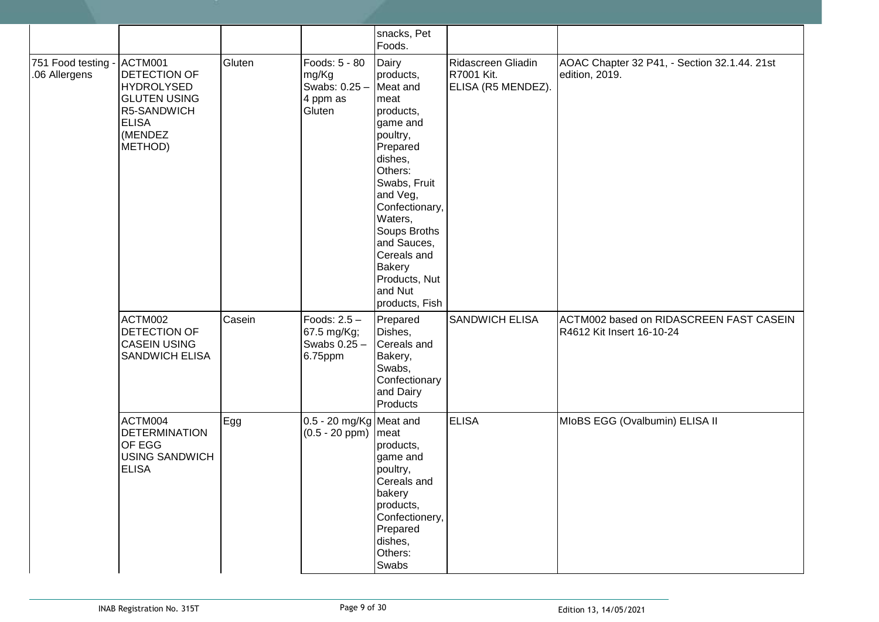|                                     |                                                                                                                          |        |                                                               | snacks, Pet<br>Foods.                                                                                                                                                                                                                                                        |                                                        |                                                                      |
|-------------------------------------|--------------------------------------------------------------------------------------------------------------------------|--------|---------------------------------------------------------------|------------------------------------------------------------------------------------------------------------------------------------------------------------------------------------------------------------------------------------------------------------------------------|--------------------------------------------------------|----------------------------------------------------------------------|
| 751 Food testing -<br>.06 Allergens | ACTM001<br>DETECTION OF<br><b>HYDROLYSED</b><br><b>GLUTEN USING</b><br>R5-SANDWICH<br><b>ELISA</b><br>(MENDEZ<br>METHOD) | Gluten | Foods: 5 - 80<br>mg/Kg<br>Swabs: 0.25 -<br>4 ppm as<br>Gluten | Dairy<br>products,<br>Meat and<br>meat<br>products,<br>game and<br>poultry,<br>Prepared<br>dishes,<br>Others:<br>Swabs, Fruit<br>and Veg,<br>Confectionary,<br>Waters,<br>Soups Broths<br>and Sauces,<br>Cereals and<br>Bakery<br>Products, Nut<br>and Nut<br>products, Fish | Ridascreen Gliadin<br>R7001 Kit.<br>ELISA (R5 MENDEZ). | AOAC Chapter 32 P41, - Section 32.1.44. 21st<br>edition, 2019.       |
|                                     | ACTM002<br>DETECTION OF<br><b>CASEIN USING</b><br><b>SANDWICH ELISA</b>                                                  | Casein | Foods: 2.5 -<br>67.5 mg/Kg;<br>Swabs 0.25 -<br>6.75ppm        | Prepared<br>Dishes,<br>Cereals and<br>Bakery,<br>Swabs,<br>Confectionary<br>and Dairy<br>Products                                                                                                                                                                            | <b>SANDWICH ELISA</b>                                  | ACTM002 based on RIDASCREEN FAST CASEIN<br>R4612 Kit Insert 16-10-24 |
|                                     | ACTM004<br><b>DETERMINATION</b><br>OF EGG<br><b>USING SANDWICH</b><br><b>ELISA</b>                                       | Egg    | 0.5 - 20 mg/Kg Meat and<br>$(0.5 - 20$ ppm) meat              | products,<br>game and<br>poultry,<br>Cereals and<br>bakery<br>products,<br>Confectionery,<br>Prepared<br>dishes,<br>Others:<br>Swabs                                                                                                                                         | <b>ELISA</b>                                           | MIoBS EGG (Ovalbumin) ELISA II                                       |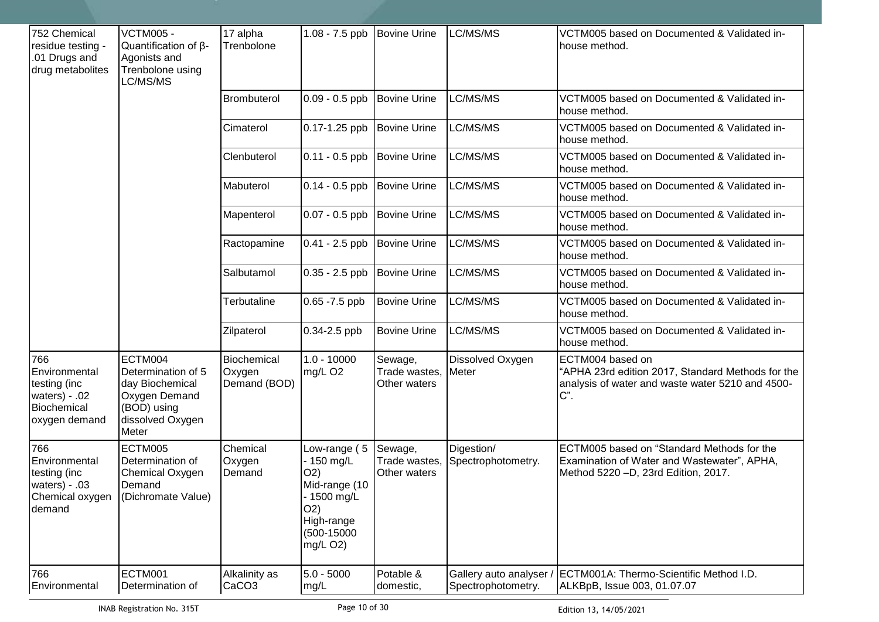| 752 Chemical<br>residue testing -<br>.01 Drugs and<br>drug metabolites                | <b>VCTM005 -</b><br>Quantification of $\beta$ -<br>Agonists and<br>Trenbolone using<br>LC/MS/MS               | 17 alpha<br>Trenbolone                | 1.08 - 7.5 ppb   Bovine Urine                                                                                           |                                          | LC/MS/MS                         | VCTM005 based on Documented & Validated in-<br>house method.                                                                        |
|---------------------------------------------------------------------------------------|---------------------------------------------------------------------------------------------------------------|---------------------------------------|-------------------------------------------------------------------------------------------------------------------------|------------------------------------------|----------------------------------|-------------------------------------------------------------------------------------------------------------------------------------|
|                                                                                       |                                                                                                               | <b>Brombuterol</b>                    | $0.09 - 0.5$ ppb                                                                                                        | <b>Bovine Urine</b>                      | LC/MS/MS                         | VCTM005 based on Documented & Validated in-<br>house method.                                                                        |
|                                                                                       |                                                                                                               | Cimaterol                             | 0.17-1.25 ppb                                                                                                           | <b>Bovine Urine</b>                      | LC/MS/MS                         | VCTM005 based on Documented & Validated in-<br>house method.                                                                        |
|                                                                                       |                                                                                                               | Clenbuterol                           | $0.11 - 0.5$ ppb                                                                                                        | Bovine Urine                             | LC/MS/MS                         | VCTM005 based on Documented & Validated in-<br>house method.                                                                        |
|                                                                                       |                                                                                                               | Mabuterol                             | $0.14 - 0.5$ ppb                                                                                                        | Bovine Urine                             | LC/MS/MS                         | VCTM005 based on Documented & Validated in-<br>house method.                                                                        |
|                                                                                       |                                                                                                               | Mapenterol                            | $0.07 - 0.5$ ppb                                                                                                        | <b>Bovine Urine</b>                      | LC/MS/MS                         | VCTM005 based on Documented & Validated in-<br>house method.                                                                        |
|                                                                                       |                                                                                                               | Ractopamine                           | $0.41 - 2.5$ ppb                                                                                                        | <b>Bovine Urine</b>                      | LC/MS/MS                         | VCTM005 based on Documented & Validated in-<br>house method.                                                                        |
|                                                                                       |                                                                                                               | Salbutamol                            | $0.35 - 2.5$ ppb                                                                                                        | <b>Bovine Urine</b>                      | LC/MS/MS                         | VCTM005 based on Documented & Validated in-<br>house method.                                                                        |
|                                                                                       |                                                                                                               | Terbutaline                           | $0.65 - 7.5$ ppb                                                                                                        | <b>Bovine Urine</b>                      | LC/MS/MS                         | VCTM005 based on Documented & Validated in-<br>house method.                                                                        |
|                                                                                       |                                                                                                               | Zilpaterol                            | $0.34 - 2.5$ ppb                                                                                                        | <b>Bovine Urine</b>                      | LC/MS/MS                         | VCTM005 based on Documented & Validated in-<br>house method.                                                                        |
| 766<br>Environmental<br>testing (inc<br>waters) $-02$<br>Biochemical<br>oxygen demand | ECTM004<br>Determination of 5<br>day Biochemical<br>Oxygen Demand<br>(BOD) using<br>dissolved Oxygen<br>Meter | Biochemical<br>Oxygen<br>Demand (BOD) | $1.0 - 10000$<br>mg/L O <sub>2</sub>                                                                                    | Sewage,<br>Trade wastes,<br>Other waters | Dissolved Oxygen<br>Meter        | ECTM004 based on<br>"APHA 23rd edition 2017, Standard Methods for the<br>analysis of water and waste water 5210 and 4500-<br>$C$ ". |
| 766<br>Environmental<br>testing (inc<br>waters) $-03$<br>Chemical oxygen<br>demand    | ECTM005<br>Determination of<br>Chemical Oxygen<br>Demand<br>(Dichromate Value)                                | Chemical<br>Oxygen<br>Demand          | Low-range (5<br>- 150 mg/L<br>O(2)<br>Mid-range (10<br>- 1500 mg/L<br>O(2)<br>High-range<br>$(500-15000)$<br>$mg/L$ O2) | Sewage,<br>Trade wastes,<br>Other waters | Digestion/<br>Spectrophotometry. | ECTM005 based on "Standard Methods for the<br>Examination of Water and Wastewater", APHA,<br>Method 5220 - D, 23rd Edition, 2017.   |
| 766<br>Environmental                                                                  | ECTM001<br>Determination of                                                                                   | Alkalinity as<br>CaCO <sub>3</sub>    | $5.0 - 5000$<br>mg/L                                                                                                    | Potable &<br>domestic,                   | Spectrophotometry.               | Gallery auto analyser / ECTM001A: Thermo-Scientific Method I.D.<br>ALKBpB, Issue 003, 01.07.07                                      |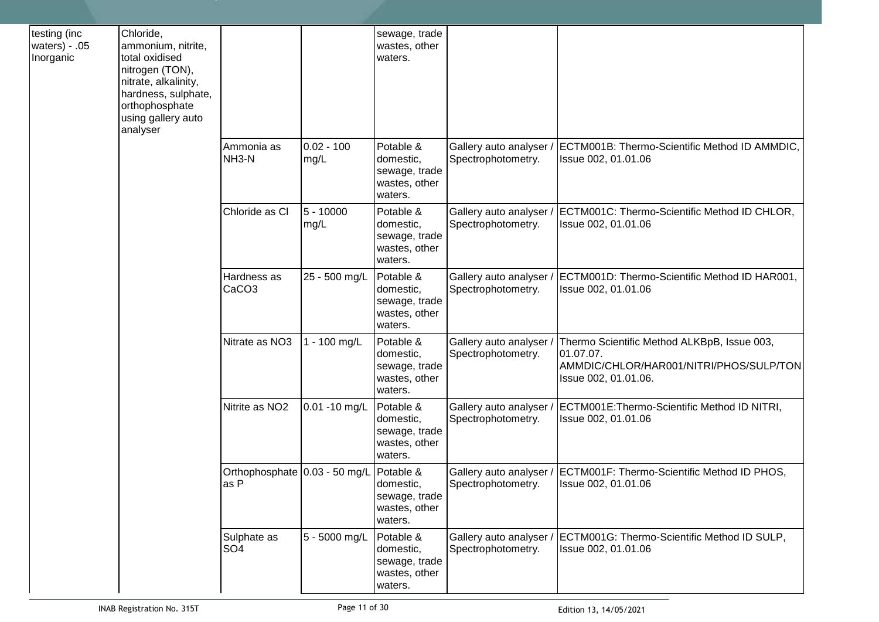| testing (inc<br>waters) - .05<br>Inorganic | Chloride,<br>ammonium, nitrite,<br>total oxidised<br>nitrogen (TON),<br>nitrate, alkalinity,<br>hardness, sulphate,<br>orthophosphate<br>using gallery auto<br>analyser |                                       |                      | sewage, trade<br>wastes, other<br>waters.                           |                                              |                                                                                                                             |
|--------------------------------------------|-------------------------------------------------------------------------------------------------------------------------------------------------------------------------|---------------------------------------|----------------------|---------------------------------------------------------------------|----------------------------------------------|-----------------------------------------------------------------------------------------------------------------------------|
|                                            |                                                                                                                                                                         | Ammonia as<br>NH <sub>3</sub> -N      | $0.02 - 100$<br>mg/L | Potable &<br>domestic,<br>sewage, trade<br>wastes, other<br>waters. | Gallery auto analyser<br>Spectrophotometry.  | ECTM001B: Thermo-Scientific Method ID AMMDIC,<br>Issue 002, 01.01.06                                                        |
|                                            |                                                                                                                                                                         | Chloride as Cl                        | $5 - 10000$<br>mg/L  | Potable &<br>domestic,<br>sewage, trade<br>wastes, other<br>waters. | Gallery auto analyser<br>Spectrophotometry.  | ECTM001C: Thermo-Scientific Method ID CHLOR,<br>Issue 002, 01.01.06                                                         |
|                                            |                                                                                                                                                                         | Hardness as<br>CaCO <sub>3</sub>      | 25 - 500 mg/L        | Potable &<br>domestic,<br>sewage, trade<br>wastes, other<br>waters. | Gallery auto analyser<br>Spectrophotometry.  | ECTM001D: Thermo-Scientific Method ID HAR001,<br>Issue 002, 01.01.06                                                        |
|                                            |                                                                                                                                                                         | Nitrate as NO3                        | 1 - 100 mg/L         | Potable &<br>domestic,<br>sewage, trade<br>wastes, other<br>waters. | Gallery auto analyser<br>Spectrophotometry.  | Thermo Scientific Method ALKBpB, Issue 003,<br>01.07.07.<br>AMMDIC/CHLOR/HAR001/NITRI/PHOS/SULP/TON<br>Issue 002, 01.01.06. |
|                                            |                                                                                                                                                                         | Nitrite as NO <sub>2</sub>            | $0.01 - 10$ mg/L     | Potable &<br>domestic,<br>sewage, trade<br>wastes, other<br>waters. | Gallery auto analyser<br>Spectrophotometry.  | ECTM001E: Thermo-Scientific Method ID NITRI,<br>Issue 002, 01.01.06                                                         |
|                                            |                                                                                                                                                                         | Orthophosphate 0.03 - 50 mg/L<br>as P |                      | Potable &<br>domestic,<br>sewage, trade<br>wastes, other<br>waters. | Gallery auto analyser<br>Spectrophotometry.  | ECTM001F: Thermo-Scientific Method ID PHOS,<br>Issue 002, 01.01.06                                                          |
|                                            |                                                                                                                                                                         | Sulphate as<br>SO <sub>4</sub>        | 5 - 5000 mg/L        | Potable &<br>domestic,<br>sewage, trade<br>wastes, other<br>waters. | Gallery auto analyser.<br>Spectrophotometry. | ECTM001G: Thermo-Scientific Method ID SULP,<br>Issue 002, 01.01.06                                                          |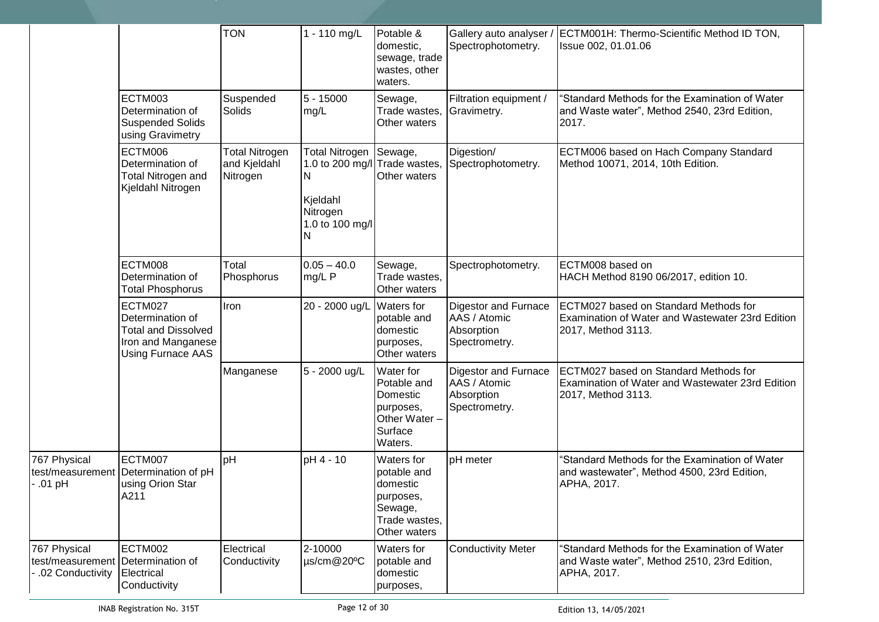|                                                                       |                                                                                                      | <b>TON</b>                                        | 1 - 110 mg/L                                                                                                   | Potable &<br>domestic,<br>sewage, trade<br>wastes, other<br>waters.                            | Gallery auto analyser.<br>Spectrophotometry.                               | ECTM001H: Thermo-Scientific Method ID TON,<br>Issue 002, 01.01.06                                               |
|-----------------------------------------------------------------------|------------------------------------------------------------------------------------------------------|---------------------------------------------------|----------------------------------------------------------------------------------------------------------------|------------------------------------------------------------------------------------------------|----------------------------------------------------------------------------|-----------------------------------------------------------------------------------------------------------------|
|                                                                       | ECTM003<br>Determination of<br><b>Suspended Solids</b><br>using Gravimetry                           | Suspended<br>Solids                               | $5 - 15000$<br>mg/L                                                                                            | Sewage,<br>Trade wastes,<br>Other waters                                                       | Filtration equipment /<br>Gravimetry.                                      | "Standard Methods for the Examination of Water<br>and Waste water", Method 2540, 23rd Edition,<br>2017.         |
|                                                                       | ECTM006<br>Determination of<br>Total Nitrogen and<br>Kjeldahl Nitrogen                               | <b>Total Nitrogen</b><br>and Kjeldahl<br>Nitrogen | <b>Total Nitrogen</b><br>1.0 to 200 mg/l Trade wastes,<br>IN.<br>Kjeldahl<br>Nitrogen<br>1.0 to 100 mg/l<br>ΙN | Sewage,<br>Other waters                                                                        | Digestion/<br>Spectrophotometry.                                           | ECTM006 based on Hach Company Standard<br>Method 10071, 2014, 10th Edition.                                     |
|                                                                       | ECTM008<br>Determination of<br><b>Total Phosphorus</b>                                               | Total<br>Phosphorus                               | $0.05 - 40.0$<br>mg/L P                                                                                        | Sewage,<br>Trade wastes,<br>Other waters                                                       | Spectrophotometry.                                                         | ECTM008 based on<br>HACH Method 8190 06/2017, edition 10.                                                       |
|                                                                       | ECTM027<br>Determination of<br><b>Total and Dissolved</b><br>Iron and Manganese<br>Using Furnace AAS | Iron                                              | 20 - 2000 ug/L Waters for                                                                                      | potable and<br>domestic<br>purposes,<br>Other waters                                           | <b>Digestor and Furnace</b><br>AAS / Atomic<br>Absorption<br>Spectrometry. | ECTM027 based on Standard Methods for<br>Examination of Water and Wastewater 23rd Edition<br>2017, Method 3113. |
|                                                                       |                                                                                                      | Manganese                                         | 5 - 2000 ug/L                                                                                                  | Water for<br>Potable and<br>Domestic<br>purposes,<br>Other Water -<br>Surface<br>Waters.       | <b>Digestor and Furnace</b><br>AAS / Atomic<br>Absorption<br>Spectrometry. | ECTM027 based on Standard Methods for<br>Examination of Water and Wastewater 23rd Edition<br>2017, Method 3113. |
| 767 Physical<br>test/measurement<br>$.01$ pH                          | ECTM007<br>Determination of pH<br>using Orion Star<br>A211                                           | pH                                                | pH 4 - 10                                                                                                      | Waters for<br>potable and<br>domestic<br>purposes,<br>Sewage,<br>Trade wastes,<br>Other waters | pH meter                                                                   | "Standard Methods for the Examination of Water<br>and wastewater", Method 4500, 23rd Edition,<br>APHA, 2017.    |
| 767 Physical<br>test/measurement Determination of<br>.02 Conductivity | ECTM002<br>Electrical<br>Conductivity                                                                | Electrical<br>Conductivity                        | 2-10000<br>µs/cm@20°C                                                                                          | Waters for<br>potable and<br>domestic<br>purposes,                                             | <b>Conductivity Meter</b>                                                  | 'Standard Methods for the Examination of Water<br>and Waste water", Method 2510, 23rd Edition,<br>APHA, 2017.   |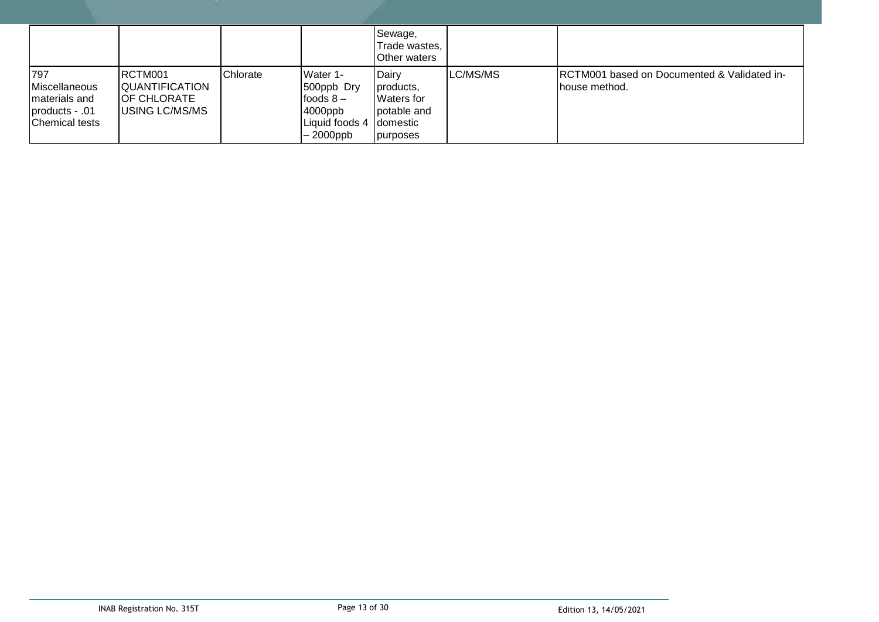|                                                                                  |                                                                                  |          |                                                                                           | Sewage,<br>Trade wastes,<br><b>Other waters</b>                               |          |                                                                           |
|----------------------------------------------------------------------------------|----------------------------------------------------------------------------------|----------|-------------------------------------------------------------------------------------------|-------------------------------------------------------------------------------|----------|---------------------------------------------------------------------------|
| 797<br>Miscellaneous<br>materials and<br>products - .01<br><b>Chemical tests</b> | RCTM001<br><b>QUANTIFICATION</b><br><b>OF CHLORATE</b><br><b>IUSING LC/MS/MS</b> | Chlorate | Water 1-<br>500ppb Dry<br>foods $8-$<br>4000ppb<br>Liquid foods 4 domestic<br>$-2000$ ppb | Dairy<br>products,<br><b>I</b> Waters for<br>potable and<br><b>I</b> purposes | LC/MS/MS | <b>IRCTM001 based on Documented &amp; Validated in-</b><br>Ihouse method. |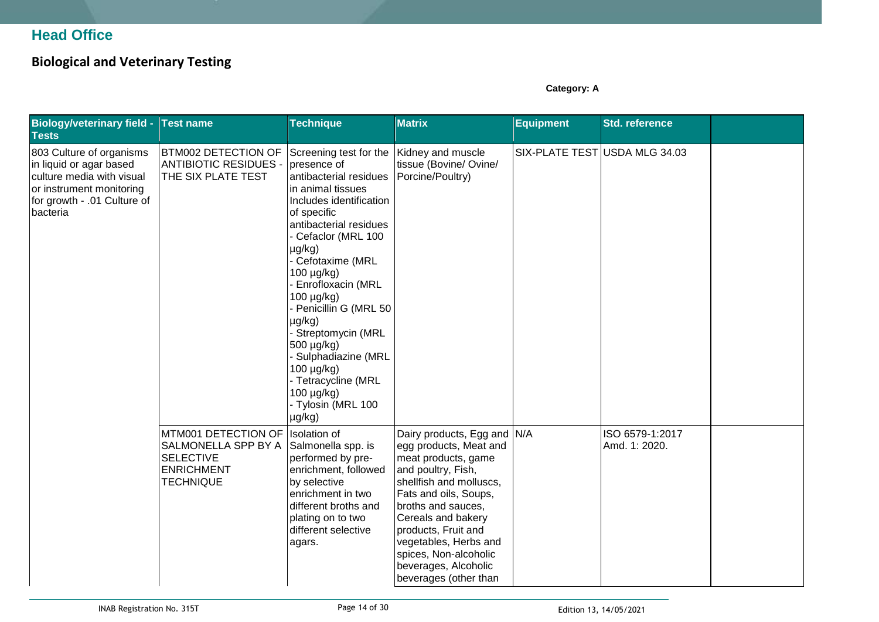### **Head Office**

### **Biological and Veterinary Testing**

**Category: A**

| <b>Biology/veterinary field -</b><br><b>Tests</b>                                                                                                       | <b>Test name</b>                                                                                        | <b>Technique</b>                                                                                                                                                                                                                                                                                                                                                                                                                                                | <b>Matrix</b>                                                                                                                                                                                                                                                                                                                | <b>Equipment</b>              | <b>Std. reference</b>            |  |
|---------------------------------------------------------------------------------------------------------------------------------------------------------|---------------------------------------------------------------------------------------------------------|-----------------------------------------------------------------------------------------------------------------------------------------------------------------------------------------------------------------------------------------------------------------------------------------------------------------------------------------------------------------------------------------------------------------------------------------------------------------|------------------------------------------------------------------------------------------------------------------------------------------------------------------------------------------------------------------------------------------------------------------------------------------------------------------------------|-------------------------------|----------------------------------|--|
| 803 Culture of organisms<br>in liquid or agar based<br>culture media with visual<br>or instrument monitoring<br>for growth - .01 Culture of<br>bacteria | <b>BTM002 DETECTION OF</b><br><b>ANTIBIOTIC RESIDUES -</b><br>THE SIX PLATE TEST                        | Screening test for the<br>presence of<br>antibacterial residues<br>in animal tissues<br>Includes identification<br>of specific<br>antibacterial residues<br>Cefaclor (MRL 100<br>$\mu$ g/kg)<br>Cefotaxime (MRL<br>100 µg/kg)<br>Enrofloxacin (MRL<br>100 µg/kg)<br>Penicillin G (MRL 50<br>$\mu$ g/kg)<br>Streptomycin (MRL<br>500 µg/kg)<br><b>Sulphadiazine (MRL</b><br>100 µg/kg)<br>- Tetracycline (MRL<br>100 µg/kg)<br>- Tylosin (MRL 100<br>$\mu$ g/kg) | Kidney and muscle<br>tissue (Bovine/ Ovine/<br>Porcine/Poultry)                                                                                                                                                                                                                                                              | SIX-PLATE TEST USDA MLG 34.03 |                                  |  |
|                                                                                                                                                         | MTM001 DETECTION OF<br>SALMONELLA SPP BY A<br><b>SELECTIVE</b><br><b>ENRICHMENT</b><br><b>TECHNIQUE</b> | <b>Isolation of</b><br>Salmonella spp. is<br>performed by pre-<br>enrichment, followed<br>by selective<br>enrichment in two<br>different broths and<br>plating on to two<br>different selective<br>agars.                                                                                                                                                                                                                                                       | Dairy products, Egg and N/A<br>egg products, Meat and<br>meat products, game<br>and poultry, Fish,<br>shellfish and molluscs,<br>Fats and oils, Soups,<br>broths and sauces,<br>Cereals and bakery<br>products, Fruit and<br>vegetables, Herbs and<br>spices, Non-alcoholic<br>beverages, Alcoholic<br>beverages (other than |                               | ISO 6579-1:2017<br>Amd. 1: 2020. |  |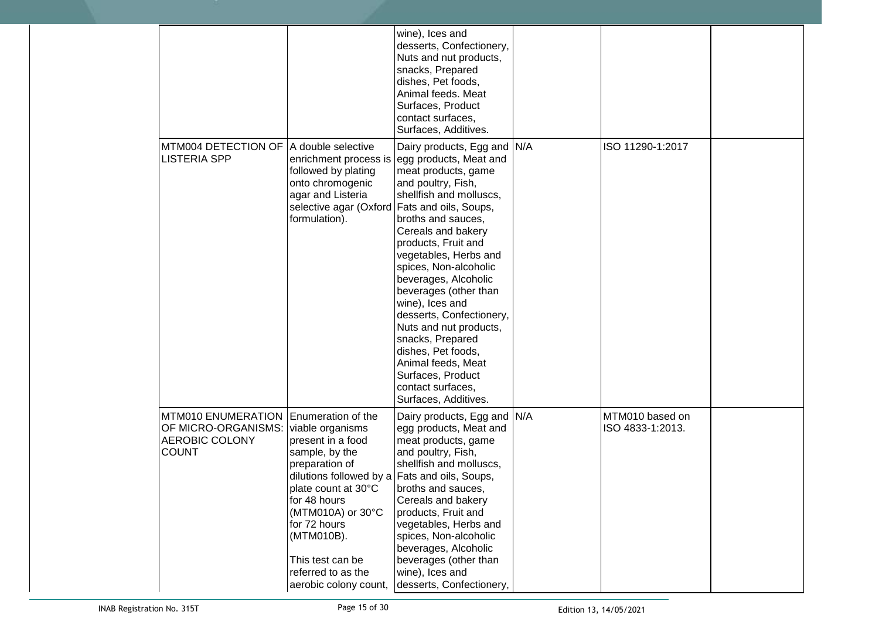|                                                                                    |                                                                                                                                                                                                                                                                                                               | wine), Ices and<br>desserts, Confectionery,<br>Nuts and nut products,<br>snacks, Prepared<br>dishes, Pet foods,<br>Animal feeds. Meat<br>Surfaces, Product<br>contact surfaces,<br>Surfaces, Additives.                                                                                                                                                                                                                                                                                                        |                                     |  |
|------------------------------------------------------------------------------------|---------------------------------------------------------------------------------------------------------------------------------------------------------------------------------------------------------------------------------------------------------------------------------------------------------------|----------------------------------------------------------------------------------------------------------------------------------------------------------------------------------------------------------------------------------------------------------------------------------------------------------------------------------------------------------------------------------------------------------------------------------------------------------------------------------------------------------------|-------------------------------------|--|
| MTM004 DETECTION OF<br>LISTERIA SPP                                                | A double selective<br>enrichment process is<br>followed by plating<br>onto chromogenic<br>agar and Listeria<br>selective agar (Oxford Fats and oils, Soups,<br>formulation).                                                                                                                                  | Dairy products, Egg and N/A<br>egg products, Meat and<br>meat products, game<br>and poultry, Fish,<br>shellfish and molluscs,<br>broths and sauces,<br>Cereals and bakery<br>products, Fruit and<br>vegetables, Herbs and<br>spices, Non-alcoholic<br>beverages, Alcoholic<br>beverages (other than<br>wine), Ices and<br>desserts, Confectionery,<br>Nuts and nut products,<br>snacks, Prepared<br>dishes, Pet foods,<br>Animal feeds, Meat<br>Surfaces, Product<br>contact surfaces,<br>Surfaces, Additives. | ISO 11290-1:2017                    |  |
| MTM010 ENUMERATION<br>OF MICRO-ORGANISMS:<br><b>AEROBIC COLONY</b><br><b>COUNT</b> | Enumeration of the<br>viable organisms<br>present in a food<br>sample, by the<br>preparation of<br>dilutions followed by a Fats and oils, Soups,<br>plate count at 30°C<br>for 48 hours<br>(MTM010A) or 30°C<br>for 72 hours<br>(MTM010B).<br>This test can be<br>referred to as the<br>aerobic colony count, | Dairy products, Egg and N/A<br>egg products, Meat and<br>meat products, game<br>and poultry, Fish,<br>shellfish and molluscs,<br>broths and sauces,<br>Cereals and bakery<br>products, Fruit and<br>vegetables, Herbs and<br>spices, Non-alcoholic<br>beverages, Alcoholic<br>beverages (other than<br>wine), Ices and<br>desserts, Confectionery,                                                                                                                                                             | MTM010 based on<br>ISO 4833-1:2013. |  |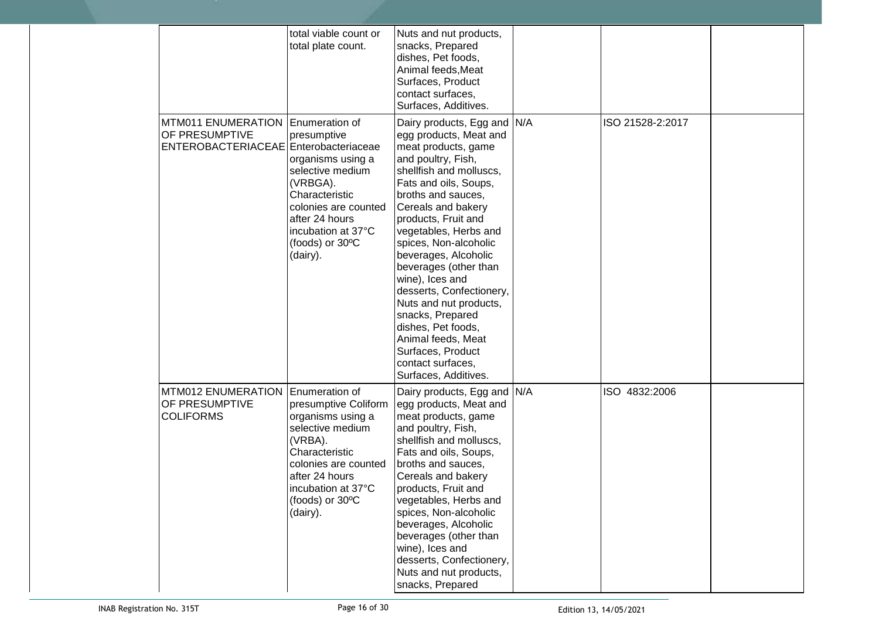|                                                                                      | total viable count or<br>total plate count.                                                                                                                                                                 | Nuts and nut products,<br>snacks, Prepared<br>dishes, Pet foods,<br>Animal feeds, Meat<br>Surfaces, Product<br>contact surfaces.<br>Surfaces, Additives.                                                                                                                                                                                                                                                                                                                                                                                |                  |  |
|--------------------------------------------------------------------------------------|-------------------------------------------------------------------------------------------------------------------------------------------------------------------------------------------------------------|-----------------------------------------------------------------------------------------------------------------------------------------------------------------------------------------------------------------------------------------------------------------------------------------------------------------------------------------------------------------------------------------------------------------------------------------------------------------------------------------------------------------------------------------|------------------|--|
| <b>MTM011 ENUMERATION</b><br>OF PRESUMPTIVE<br>ENTEROBACTERIACEAE Enterobacteriaceae | Enumeration of<br>presumptive<br>organisms using a<br>selective medium<br>(VRBGA).<br>Characteristic<br>colonies are counted<br>after 24 hours<br>incubation at 37°C<br>(foods) or 30°C<br>(dairy).         | Dairy products, Egg and N/A<br>egg products, Meat and<br>meat products, game<br>and poultry, Fish,<br>shellfish and molluscs,<br>Fats and oils, Soups,<br>broths and sauces,<br>Cereals and bakery<br>products, Fruit and<br>vegetables, Herbs and<br>spices, Non-alcoholic<br>beverages, Alcoholic<br>beverages (other than<br>wine), Ices and<br>desserts, Confectionery,<br>Nuts and nut products,<br>snacks, Prepared<br>dishes, Pet foods,<br>Animal feeds, Meat<br>Surfaces, Product<br>contact surfaces,<br>Surfaces, Additives. | ISO 21528-2:2017 |  |
| MTM012 ENUMERATION<br>OF PRESUMPTIVE<br><b>COLIFORMS</b>                             | Enumeration of<br>presumptive Coliform<br>organisms using a<br>selective medium<br>(VRBA).<br>Characteristic<br>colonies are counted<br>after 24 hours<br>incubation at 37°C<br>(foods) or 30°C<br>(dairy). | Dairy products, Egg and N/A<br>egg products, Meat and<br>meat products, game<br>and poultry, Fish,<br>shellfish and molluscs,<br>Fats and oils, Soups,<br>broths and sauces,<br>Cereals and bakery<br>products, Fruit and<br>vegetables, Herbs and<br>spices, Non-alcoholic<br>beverages, Alcoholic<br>beverages (other than<br>wine), Ices and<br>desserts, Confectionery,<br>Nuts and nut products,<br>snacks, Prepared                                                                                                               | ISO 4832:2006    |  |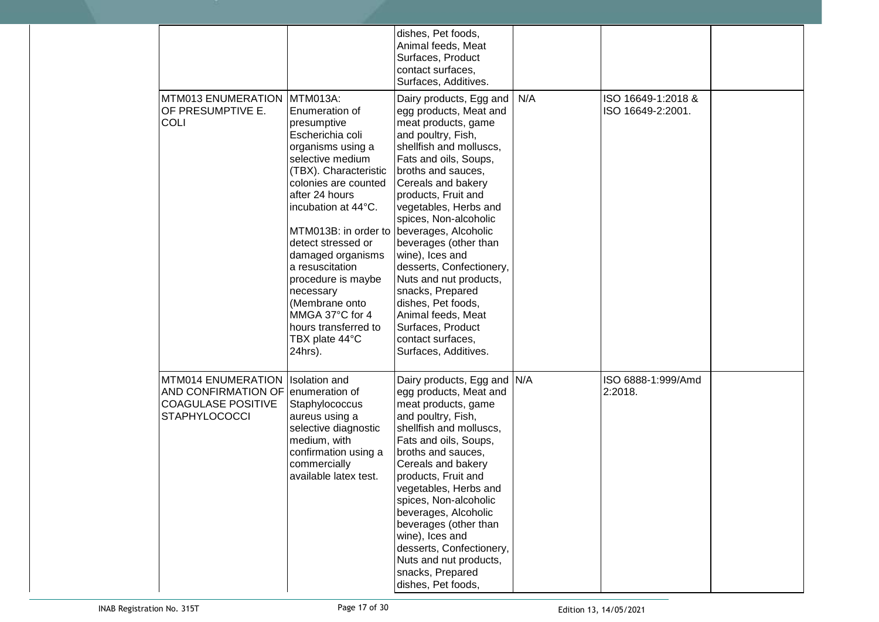|                                                                                                               |                                                                                                                                                                                                                                                                                                                                                                                                                                          | dishes, Pet foods,<br>Animal feeds, Meat<br>Surfaces, Product<br>contact surfaces,<br>Surfaces, Additives.                                                                                                                                                                                                                                                                                                                                                                                                  |     |                                         |  |
|---------------------------------------------------------------------------------------------------------------|------------------------------------------------------------------------------------------------------------------------------------------------------------------------------------------------------------------------------------------------------------------------------------------------------------------------------------------------------------------------------------------------------------------------------------------|-------------------------------------------------------------------------------------------------------------------------------------------------------------------------------------------------------------------------------------------------------------------------------------------------------------------------------------------------------------------------------------------------------------------------------------------------------------------------------------------------------------|-----|-----------------------------------------|--|
| MTM013 ENUMERATION<br>OF PRESUMPTIVE E.<br><b>COLI</b>                                                        | MTM013A:<br>Enumeration of<br>presumptive<br>Escherichia coli<br>organisms using a<br>selective medium<br>(TBX). Characteristic<br>colonies are counted<br>after 24 hours<br>incubation at 44°C.<br>MTM013B: in order to beverages, Alcoholic<br>detect stressed or<br>damaged organisms<br>a resuscitation<br>procedure is maybe<br>necessary<br>(Membrane onto<br>MMGA 37°C for 4<br>hours transferred to<br>TBX plate 44°C<br>24hrs). | Dairy products, Egg and<br>egg products, Meat and<br>meat products, game<br>and poultry, Fish,<br>shellfish and molluscs,<br>Fats and oils, Soups,<br>broths and sauces,<br>Cereals and bakery<br>products, Fruit and<br>vegetables, Herbs and<br>spices, Non-alcoholic<br>beverages (other than<br>wine), Ices and<br>desserts, Confectionery,<br>Nuts and nut products,<br>snacks, Prepared<br>dishes, Pet foods,<br>Animal feeds, Meat<br>Surfaces, Product<br>contact surfaces,<br>Surfaces, Additives. | N/A | ISO 16649-1:2018 &<br>ISO 16649-2:2001. |  |
| MTM014 ENUMERATION<br>AND CONFIRMATION OF enumeration of<br><b>COAGULASE POSITIVE</b><br><b>STAPHYLOCOCCI</b> | <b>Isolation</b> and<br>Staphylococcus<br>aureus using a<br>selective diagnostic<br>medium, with<br>confirmation using a<br>commercially<br>available latex test.                                                                                                                                                                                                                                                                        | Dairy products, Egg and N/A<br>egg products, Meat and<br>meat products, game<br>and poultry, Fish,<br>shellfish and molluscs.<br>Fats and oils, Soups,<br>broths and sauces,<br>Cereals and bakery<br>products, Fruit and<br>vegetables, Herbs and<br>spices, Non-alcoholic<br>beverages, Alcoholic<br>beverages (other than<br>wine), Ices and<br>desserts, Confectionery,<br>Nuts and nut products,<br>snacks, Prepared<br>dishes, Pet foods,                                                             |     | ISO 6888-1:999/Amd<br>2:2018.           |  |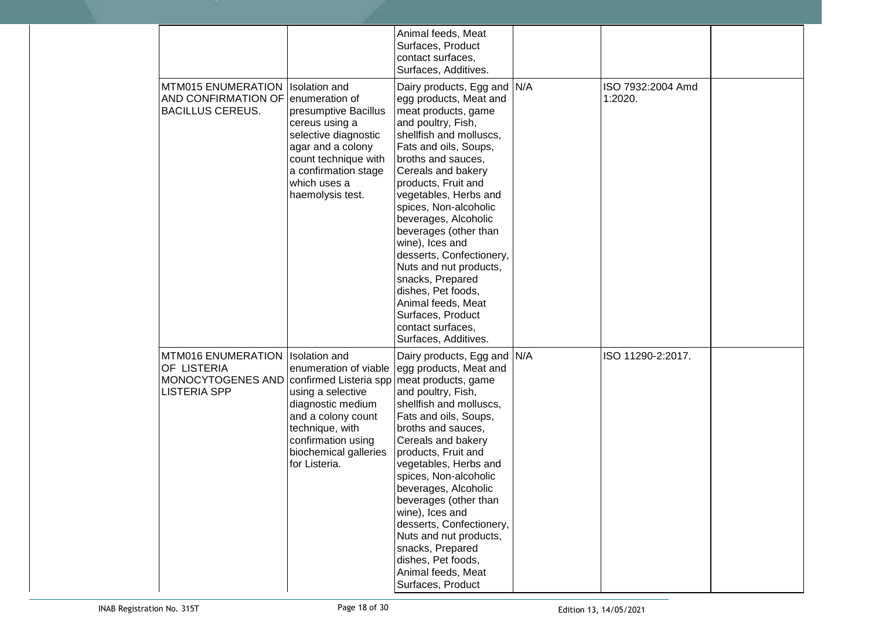|                                                                                            |                                                                                                                                                                                                                            | Animal feeds, Meat<br>Surfaces, Product<br>contact surfaces,<br>Surfaces, Additives.                                                                                                                                                                                                                                                                                                                                                                                                                                                    |                              |  |
|--------------------------------------------------------------------------------------------|----------------------------------------------------------------------------------------------------------------------------------------------------------------------------------------------------------------------------|-----------------------------------------------------------------------------------------------------------------------------------------------------------------------------------------------------------------------------------------------------------------------------------------------------------------------------------------------------------------------------------------------------------------------------------------------------------------------------------------------------------------------------------------|------------------------------|--|
| <b>MTM015 ENUMERATION</b><br>AND CONFIRMATION OF enumeration of<br><b>BACILLUS CEREUS.</b> | <b>Isolation</b> and<br>presumptive Bacillus<br>cereus using a<br>selective diagnostic<br>agar and a colony<br>count technique with<br>a confirmation stage<br>which uses a<br>haemolysis test.                            | Dairy products, Egg and N/A<br>egg products, Meat and<br>meat products, game<br>and poultry, Fish,<br>shellfish and molluscs,<br>Fats and oils, Soups,<br>broths and sauces,<br>Cereals and bakery<br>products, Fruit and<br>vegetables, Herbs and<br>spices, Non-alcoholic<br>beverages, Alcoholic<br>beverages (other than<br>wine), Ices and<br>desserts, Confectionery,<br>Nuts and nut products,<br>snacks, Prepared<br>dishes, Pet foods,<br>Animal feeds, Meat<br>Surfaces, Product<br>contact surfaces,<br>Surfaces, Additives. | ISO 7932:2004 Amd<br>1:2020. |  |
| <b>MTM016 ENUMERATION</b><br>OF LISTERIA<br>MONOCYTOGENES AND<br><b>LISTERIA SPP</b>       | <b>Isolation</b> and<br>enumeration of viable<br>confirmed Listeria spp<br>using a selective<br>diagnostic medium<br>and a colony count<br>technique, with<br>confirmation using<br>biochemical galleries<br>for Listeria. | Dairy products, Egg and N/A<br>egg products, Meat and<br>meat products, game<br>and poultry, Fish,<br>shellfish and molluscs,<br>Fats and oils, Soups,<br>broths and sauces,<br>Cereals and bakery<br>products, Fruit and<br>vegetables, Herbs and<br>spices, Non-alcoholic<br>beverages, Alcoholic<br>beverages (other than<br>wine), Ices and<br>desserts, Confectionery,<br>Nuts and nut products,<br>snacks, Prepared<br>dishes, Pet foods,<br>Animal feeds, Meat<br>Surfaces, Product                                              | ISO 11290-2:2017.            |  |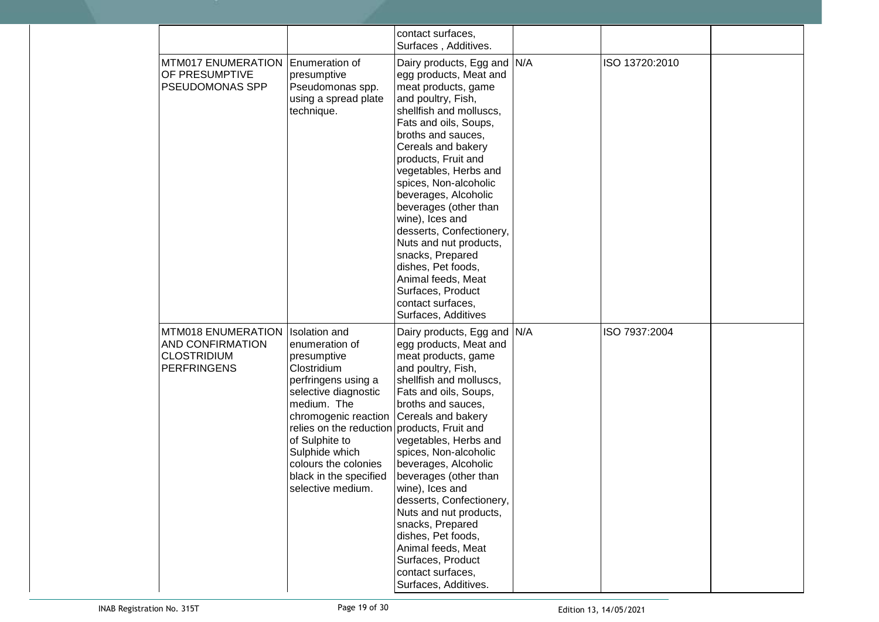|                                                                                           |                                                                                                                                                                                                                                                                                                                                         | contact surfaces,<br>Surfaces, Additives.                                                                                                                                                                                                                                                                                                                                                                                                                                                                                              |                |  |
|-------------------------------------------------------------------------------------------|-----------------------------------------------------------------------------------------------------------------------------------------------------------------------------------------------------------------------------------------------------------------------------------------------------------------------------------------|----------------------------------------------------------------------------------------------------------------------------------------------------------------------------------------------------------------------------------------------------------------------------------------------------------------------------------------------------------------------------------------------------------------------------------------------------------------------------------------------------------------------------------------|----------------|--|
| <b>MTM017 ENUMERATION</b><br>OF PRESUMPTIVE<br>PSEUDOMONAS SPP                            | Enumeration of<br>presumptive<br>Pseudomonas spp.<br>using a spread plate<br>technique.                                                                                                                                                                                                                                                 | Dairy products, Egg and N/A<br>egg products, Meat and<br>meat products, game<br>and poultry, Fish,<br>shellfish and molluscs,<br>Fats and oils, Soups,<br>broths and sauces,<br>Cereals and bakery<br>products, Fruit and<br>vegetables, Herbs and<br>spices, Non-alcoholic<br>beverages, Alcoholic<br>beverages (other than<br>wine), Ices and<br>desserts, Confectionery,<br>Nuts and nut products,<br>snacks, Prepared<br>dishes, Pet foods,<br>Animal feeds, Meat<br>Surfaces, Product<br>contact surfaces,<br>Surfaces, Additives | ISO 13720:2010 |  |
| MTM018 ENUMERATION<br><b>AND CONFIRMATION</b><br><b>CLOSTRIDIUM</b><br><b>PERFRINGENS</b> | <b>Isolation</b> and<br>enumeration of<br>presumptive<br>Clostridium<br>perfringens using a<br>selective diagnostic<br>medium. The<br>chromogenic reaction Cereals and bakery<br>relies on the reduction products, Fruit and<br>of Sulphite to<br>Sulphide which<br>colours the colonies<br>black in the specified<br>selective medium. | Dairy products, Egg and N/A<br>egg products, Meat and<br>meat products, game<br>and poultry, Fish,<br>shellfish and molluscs,<br>Fats and oils, Soups,<br>broths and sauces,<br>vegetables, Herbs and<br>spices, Non-alcoholic<br>beverages, Alcoholic<br>beverages (other than<br>wine), Ices and<br>desserts, Confectionery,<br>Nuts and nut products,<br>snacks, Prepared<br>dishes, Pet foods,<br>Animal feeds, Meat<br>Surfaces, Product<br>contact surfaces,<br>Surfaces, Additives.                                             | ISO 7937:2004  |  |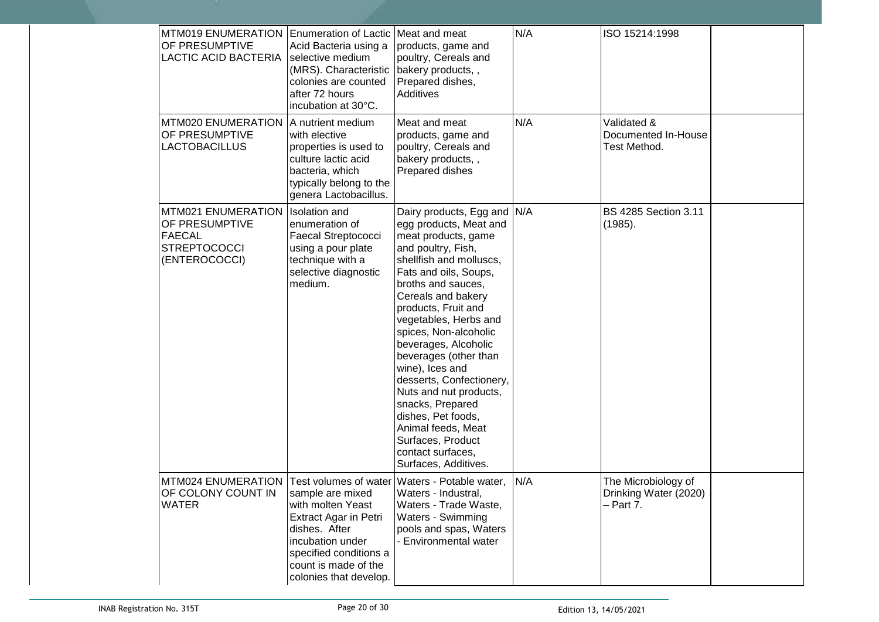| <b>MTM019 ENUMERATION</b><br>OF PRESUMPTIVE<br><b>LACTIC ACID BACTERIA</b>                             | Enumeration of Lactic Meat and meat<br>Acid Bacteria using a<br>selective medium<br>(MRS). Characteristic<br>colonies are counted<br>after 72 hours<br>incubation at 30°C.             | products, game and<br>poultry, Cereals and<br>bakery products,,<br>Prepared dishes,<br>Additives                                                                                                                                                                                                                                                                                                                                                                                                                                        | N/A | ISO 15214:1998                                            |  |
|--------------------------------------------------------------------------------------------------------|----------------------------------------------------------------------------------------------------------------------------------------------------------------------------------------|-----------------------------------------------------------------------------------------------------------------------------------------------------------------------------------------------------------------------------------------------------------------------------------------------------------------------------------------------------------------------------------------------------------------------------------------------------------------------------------------------------------------------------------------|-----|-----------------------------------------------------------|--|
| MTM020 ENUMERATION<br>OF PRESUMPTIVE<br><b>LACTOBACILLUS</b>                                           | A nutrient medium<br>with elective<br>properties is used to<br>culture lactic acid<br>bacteria, which<br>typically belong to the<br>genera Lactobacillus.                              | Meat and meat<br>products, game and<br>poultry, Cereals and<br>bakery products,,<br>Prepared dishes                                                                                                                                                                                                                                                                                                                                                                                                                                     | N/A | Validated &<br>Documented In-House<br>Test Method.        |  |
| MTM021 ENUMERATION<br>OF PRESUMPTIVE<br><b>FAECAL</b><br><b>STREPTOCOCCI</b><br>(ENTEROCOCCI)          | <b>Isolation</b> and<br>enumeration of<br>Faecal Streptococci<br>using a pour plate<br>technique with a<br>selective diagnostic<br>medium.                                             | Dairy products, Egg and N/A<br>egg products, Meat and<br>meat products, game<br>and poultry, Fish,<br>shellfish and molluscs,<br>Fats and oils, Soups,<br>broths and sauces,<br>Cereals and bakery<br>products, Fruit and<br>vegetables, Herbs and<br>spices, Non-alcoholic<br>beverages, Alcoholic<br>beverages (other than<br>wine), Ices and<br>desserts, Confectionery,<br>Nuts and nut products,<br>snacks, Prepared<br>dishes, Pet foods,<br>Animal feeds, Meat<br>Surfaces, Product<br>contact surfaces,<br>Surfaces, Additives. |     | <b>BS 4285 Section 3.11</b><br>(1985).                    |  |
| MTM024 ENUMERATION Test volumes of water Waters - Potable water,<br>OF COLONY COUNT IN<br><b>WATER</b> | sample are mixed<br>with molten Yeast<br><b>Extract Agar in Petri</b><br>dishes. After<br>incubation under<br>specified conditions a<br>count is made of the<br>colonies that develop. | Waters - Industral,<br>Waters - Trade Waste,<br><b>Waters - Swimming</b><br>pools and spas, Waters<br><b>Environmental water</b>                                                                                                                                                                                                                                                                                                                                                                                                        | N/A | The Microbiology of<br>Drinking Water (2020)<br>- Part 7. |  |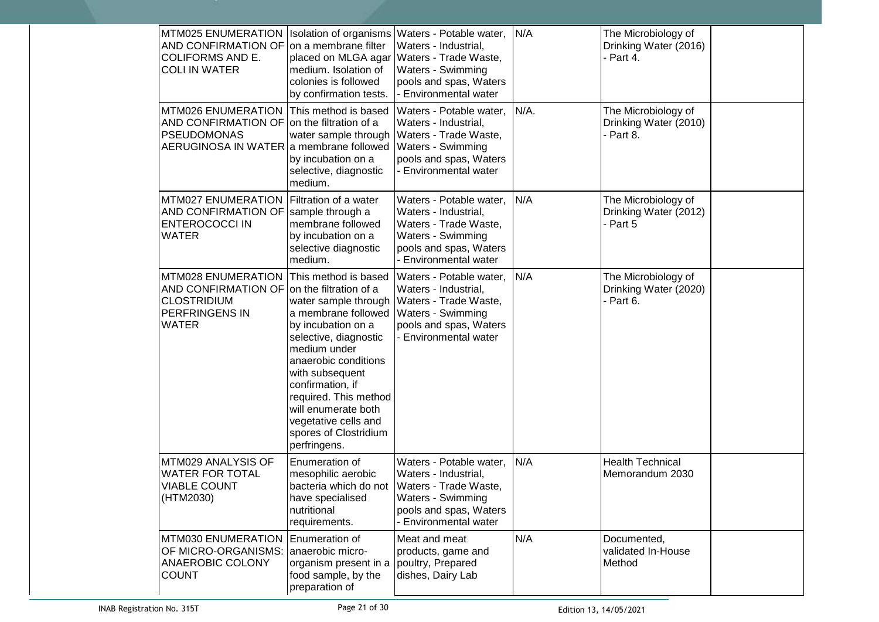| MTM025 ENUMERATION<br>AND CONFIRMATION OF on a membrane filter<br><b>COLIFORMS AND E.</b><br><b>COLI IN WATER</b>                                   | medium. Isolation of<br>colonies is followed<br>by confirmation tests.                                                                                                                                                                                                                     | Isolation of organisms Waters - Potable water,<br>Waters - Industrial,<br>placed on MLGA agar Waters - Trade Waste,<br>Waters - Swimming<br>pools and spas, Waters<br>- Environmental water | N/A  | The Microbiology of<br>Drinking Water (2016)<br>- Part 4. |
|-----------------------------------------------------------------------------------------------------------------------------------------------------|--------------------------------------------------------------------------------------------------------------------------------------------------------------------------------------------------------------------------------------------------------------------------------------------|---------------------------------------------------------------------------------------------------------------------------------------------------------------------------------------------|------|-----------------------------------------------------------|
| MTM026 ENUMERATION<br>AND CONFIRMATION OF on the filtration of a<br><b>PSEUDOMONAS</b><br>AERUGINOSA IN WATER a membrane followed Waters - Swimming | This method is based<br>by incubation on a<br>selective, diagnostic<br>medium.                                                                                                                                                                                                             | Waters - Potable water,<br>Waters - Industrial,<br>water sample through   Waters - Trade Waste,<br>pools and spas, Waters<br>- Environmental water                                          | N/A. | The Microbiology of<br>Drinking Water (2010)<br>- Part 8. |
| MTM027 ENUMERATION<br>AND CONFIRMATION OF Sample through a<br><b>ENTEROCOCCI IN</b><br><b>WATER</b>                                                 | Filtration of a water<br>membrane followed<br>by incubation on a<br>selective diagnostic<br>medium.                                                                                                                                                                                        | Waters - Potable water,<br>Waters - Industrial,<br>Waters - Trade Waste,<br>Waters - Swimming<br>pools and spas, Waters<br>- Environmental water                                            | N/A  | The Microbiology of<br>Drinking Water (2012)<br>- Part 5  |
| MTM028 ENUMERATION<br>AND CONFIRMATION OF on the filtration of a<br><b>CLOSTRIDIUM</b><br>PERFRINGENS IN<br><b>WATER</b>                            | This method is based<br>a membrane followed<br>by incubation on a<br>selective, diagnostic<br>medium under<br>anaerobic conditions<br>with subsequent<br>confirmation, if<br>required. This method<br>will enumerate both<br>vegetative cells and<br>spores of Clostridium<br>perfringens. | Waters - Potable water,<br>Waters - Industrial,<br>water sample through Waters - Trade Waste,<br>Waters - Swimming<br>pools and spas, Waters<br><b>Environmental water</b>                  | N/A  | The Microbiology of<br>Drinking Water (2020)<br>- Part 6. |
| MTM029 ANALYSIS OF<br><b>WATER FOR TOTAL</b><br><b>VIABLE COUNT</b><br>(HTM2030)                                                                    | Enumeration of<br>mesophilic aerobic<br>have specialised<br>nutritional<br>requirements.                                                                                                                                                                                                   | Waters - Potable water,<br>Waters - Industrial,<br>bacteria which do not   Waters - Trade Waste,<br>Waters - Swimming<br>pools and spas, Waters<br>- Environmental water                    | N/A  | <b>Health Technical</b><br>Memorandum 2030                |
| MTM030 ENUMERATION<br>OF MICRO-ORGANISMS:<br>ANAEROBIC COLONY<br><b>COUNT</b>                                                                       | Enumeration of<br>anaerobic micro-<br>organism present in a<br>food sample, by the<br>preparation of                                                                                                                                                                                       | Meat and meat<br>products, game and<br>poultry, Prepared<br>dishes, Dairy Lab                                                                                                               | N/A  | Documented,<br>validated In-House<br>Method               |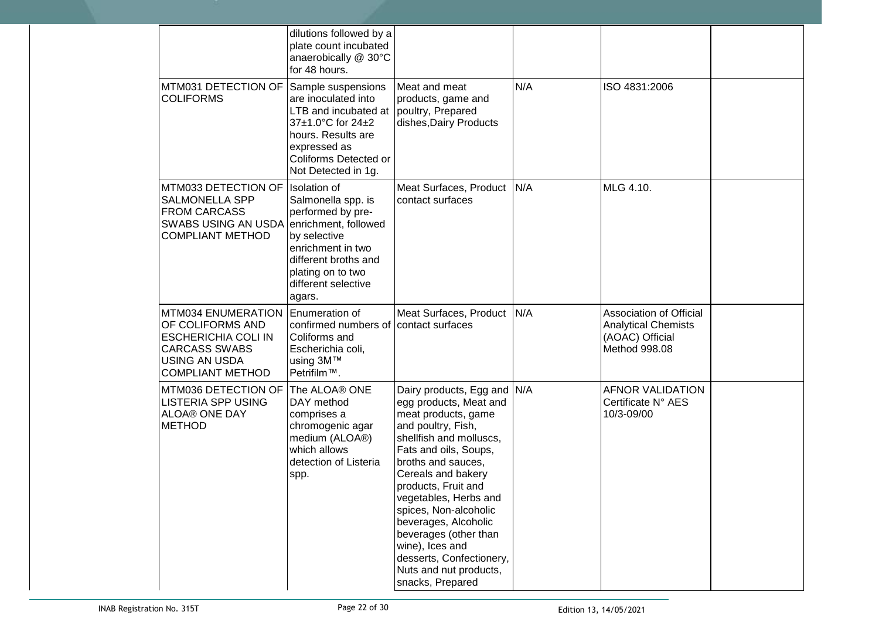|                                                                                                                                                        | dilutions followed by a<br>plate count incubated<br>anaerobically @ 30°C<br>for 48 hours.                                                                                                                 |                                                                                                                                                                                                                                                                                                                                                                                                                           |     |                                                                                                  |  |
|--------------------------------------------------------------------------------------------------------------------------------------------------------|-----------------------------------------------------------------------------------------------------------------------------------------------------------------------------------------------------------|---------------------------------------------------------------------------------------------------------------------------------------------------------------------------------------------------------------------------------------------------------------------------------------------------------------------------------------------------------------------------------------------------------------------------|-----|--------------------------------------------------------------------------------------------------|--|
| MTM031 DETECTION OF<br><b>COLIFORMS</b>                                                                                                                | Sample suspensions<br>are inoculated into<br>LTB and incubated at<br>37±1.0°C for 24±2<br>hours. Results are<br>expressed as<br>Coliforms Detected or<br>Not Detected in 1g.                              | Meat and meat<br>products, game and<br>poultry, Prepared<br>dishes, Dairy Products                                                                                                                                                                                                                                                                                                                                        | N/A | ISO 4831:2006                                                                                    |  |
| MTM033 DETECTION OF<br><b>SALMONELLA SPP</b><br><b>FROM CARCASS</b><br>SWABS USING AN USDA<br><b>COMPLIANT METHOD</b>                                  | <b>Isolation</b> of<br>Salmonella spp. is<br>performed by pre-<br>enrichment, followed<br>by selective<br>enrichment in two<br>different broths and<br>plating on to two<br>different selective<br>agars. | Meat Surfaces, Product<br>contact surfaces                                                                                                                                                                                                                                                                                                                                                                                | N/A | MLG 4.10.                                                                                        |  |
| <b>MTM034 ENUMERATION</b><br>OF COLIFORMS AND<br><b>ESCHERICHIA COLI IN</b><br><b>CARCASS SWABS</b><br><b>USING AN USDA</b><br><b>COMPLIANT METHOD</b> | Enumeration of<br>confirmed numbers of contact surfaces<br>Coliforms and<br>Escherichia coli,<br>using 3M™<br>Petrifilm™.                                                                                 | Meat Surfaces, Product                                                                                                                                                                                                                                                                                                                                                                                                    | N/A | <b>Association of Official</b><br><b>Analytical Chemists</b><br>(AOAC) Official<br>Method 998.08 |  |
| MTM036 DETECTION OF<br><b>LISTERIA SPP USING</b><br><b>ALOA® ONE DAY</b><br><b>METHOD</b>                                                              | The ALOA® ONE<br>DAY method<br>comprises a<br>chromogenic agar<br>medium (ALOA®)<br>which allows<br>detection of Listeria<br>spp.                                                                         | Dairy products, Egg and N/A<br>egg products, Meat and<br>meat products, game<br>and poultry, Fish,<br>shellfish and molluscs,<br>Fats and oils, Soups,<br>broths and sauces,<br>Cereals and bakery<br>products, Fruit and<br>vegetables, Herbs and<br>spices, Non-alcoholic<br>beverages, Alcoholic<br>beverages (other than<br>wine), Ices and<br>desserts, Confectionery,<br>Nuts and nut products,<br>snacks, Prepared |     | <b>AFNOR VALIDATION</b><br>Certificate N° AES<br>10/3-09/00                                      |  |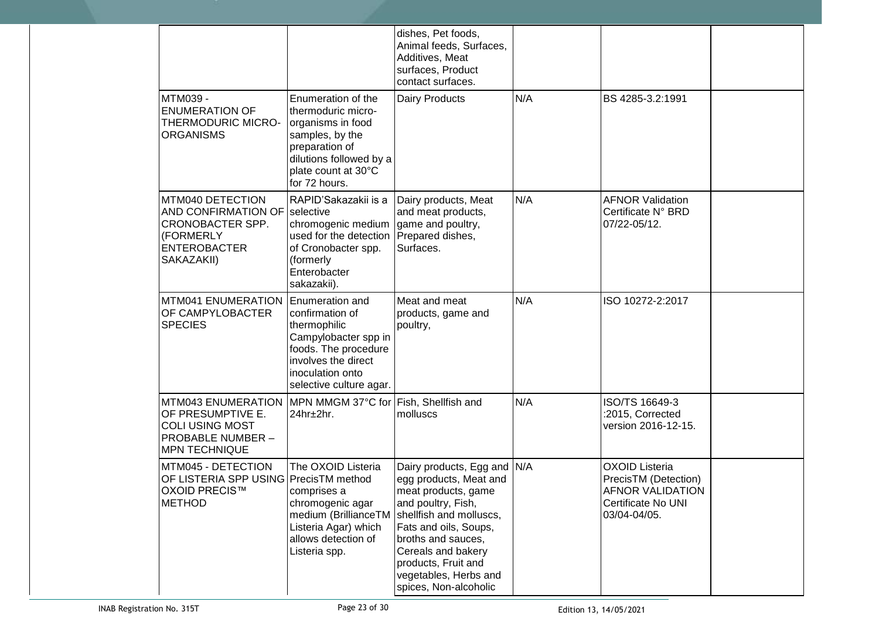|                                                                                                                              |                                                                                                                                                                                 | dishes, Pet foods,<br>Animal feeds, Surfaces,<br>Additives, Meat<br>surfaces, Product<br>contact surfaces.                                                                                                                                                                  |     |                                                                                                                |  |
|------------------------------------------------------------------------------------------------------------------------------|---------------------------------------------------------------------------------------------------------------------------------------------------------------------------------|-----------------------------------------------------------------------------------------------------------------------------------------------------------------------------------------------------------------------------------------------------------------------------|-----|----------------------------------------------------------------------------------------------------------------|--|
| MTM039 -<br><b>ENUMERATION OF</b><br>THERMODURIC MICRO-<br><b>ORGANISMS</b>                                                  | Enumeration of the<br>thermoduric micro-<br>organisms in food<br>samples, by the<br>preparation of<br>dilutions followed by a<br>plate count at 30°C<br>for 72 hours.           | Dairy Products                                                                                                                                                                                                                                                              | N/A | BS 4285-3.2:1991                                                                                               |  |
| MTM040 DETECTION<br>AND CONFIRMATION OF<br>CRONOBACTER SPP.<br>(FORMERLY<br><b>ENTEROBACTER</b><br>SAKAZAKII)                | RAPID'Sakazakii is a<br>selective<br>chromogenic medium game and poultry,<br>used for the detection<br>of Cronobacter spp.<br>(formerly<br>Enterobacter<br>sakazakii).          | Dairy products, Meat<br>and meat products,<br>Prepared dishes,<br>Surfaces.                                                                                                                                                                                                 | N/A | <b>AFNOR Validation</b><br>Certificate N° BRD<br>07/22-05/12.                                                  |  |
| <b>MTM041 ENUMERATION</b><br>OF CAMPYLOBACTER<br><b>SPECIES</b>                                                              | <b>Enumeration and</b><br>confirmation of<br>thermophilic<br>Campylobacter spp in<br>foods. The procedure<br>involves the direct<br>inoculation onto<br>selective culture agar. | Meat and meat<br>products, game and<br>poultry,                                                                                                                                                                                                                             | N/A | ISO 10272-2:2017                                                                                               |  |
| <b>MTM043 ENUMERATION</b><br>OF PRESUMPTIVE E.<br><b>COLI USING MOST</b><br><b>PROBABLE NUMBER -</b><br><b>MPN TECHNIQUE</b> | MPN MMGM 37°C for Fish, Shellfish and<br>24hr±2hr.                                                                                                                              | molluscs                                                                                                                                                                                                                                                                    | N/A | ISO/TS 16649-3<br>:2015, Corrected<br>version 2016-12-15.                                                      |  |
| MTM045 - DETECTION<br>OF LISTERIA SPP USING PrecisTM method<br>OXOID PRECIS™<br><b>METHOD</b>                                | The OXOID Listeria<br>comprises a<br>chromogenic agar<br>medium (BrillianceTM<br>Listeria Agar) which<br>allows detection of<br>Listeria spp.                                   | Dairy products, Egg and N/A<br>egg products, Meat and<br>meat products, game<br>and poultry, Fish,<br>shellfish and molluscs,<br>Fats and oils, Soups,<br>broths and sauces,<br>Cereals and bakery<br>products, Fruit and<br>vegetables, Herbs and<br>spices, Non-alcoholic |     | <b>OXOID Listeria</b><br>PrecisTM (Detection)<br><b>AFNOR VALIDATION</b><br>Certificate No UNI<br>03/04-04/05. |  |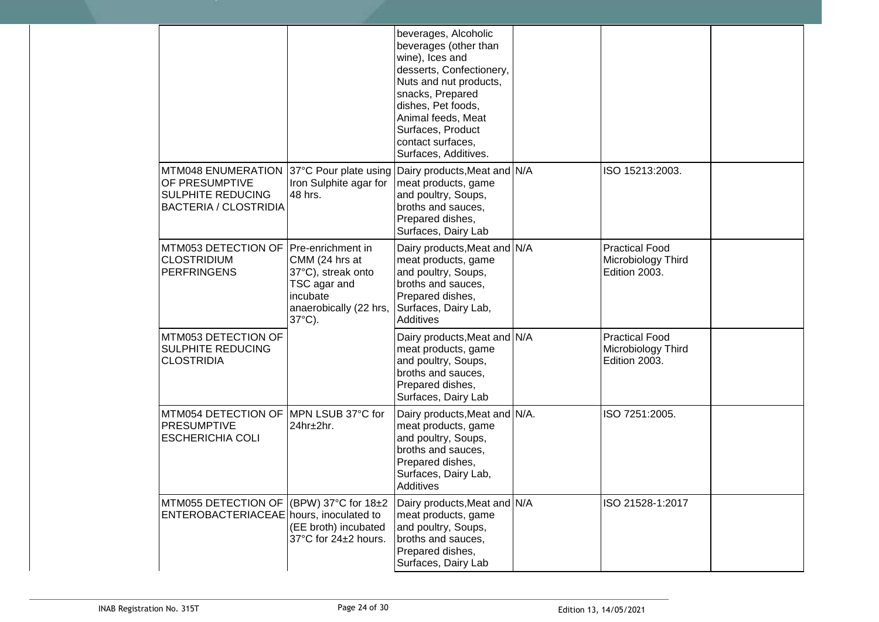|                                                                                                    |                                                                                                                | beverages, Alcoholic<br>beverages (other than<br>wine), Ices and<br>desserts, Confectionery,<br>Nuts and nut products,<br>snacks, Prepared<br>dishes, Pet foods,<br>Animal feeds, Meat<br>Surfaces, Product<br>contact surfaces,<br>Surfaces, Additives. |                                                              |  |
|----------------------------------------------------------------------------------------------------|----------------------------------------------------------------------------------------------------------------|----------------------------------------------------------------------------------------------------------------------------------------------------------------------------------------------------------------------------------------------------------|--------------------------------------------------------------|--|
| MTM048 ENUMERATION<br>OF PRESUMPTIVE<br>SULPHITE REDUCING<br><b>BACTERIA / CLOSTRIDIA</b>          | Iron Sulphite agar for<br>48 hrs.                                                                              | 37°C Pour plate using Dairy products, Meat and N/A<br>meat products, game<br>and poultry, Soups,<br>broths and sauces,<br>Prepared dishes,<br>Surfaces, Dairy Lab                                                                                        | ISO 15213:2003.                                              |  |
| MTM053 DETECTION OF Pre-enrichment in<br><b>CLOSTRIDIUM</b><br><b>PERFRINGENS</b>                  | CMM (24 hrs at<br>37°C), streak onto<br>TSC agar and<br>incubate<br>anaerobically (22 hrs,<br>$37^{\circ}$ C). | Dairy products, Meat and N/A<br>meat products, game<br>and poultry, Soups,<br>broths and sauces,<br>Prepared dishes,<br>Surfaces, Dairy Lab,<br><b>Additives</b>                                                                                         | <b>Practical Food</b><br>Microbiology Third<br>Edition 2003. |  |
| MTM053 DETECTION OF<br>SULPHITE REDUCING<br><b>CLOSTRIDIA</b>                                      |                                                                                                                | Dairy products, Meat and N/A<br>meat products, game<br>and poultry, Soups,<br>broths and sauces,<br>Prepared dishes,<br>Surfaces, Dairy Lab                                                                                                              | <b>Practical Food</b><br>Microbiology Third<br>Edition 2003. |  |
| MTM054 DETECTION OF MPN LSUB 37°C for<br><b>PRESUMPTIVE</b><br><b>ESCHERICHIA COLI</b>             | 24hr±2hr.                                                                                                      | Dairy products, Meat and N/A.<br>meat products, game<br>and poultry, Soups,<br>broths and sauces,<br>Prepared dishes,<br>Surfaces, Dairy Lab,<br>Additives                                                                                               | ISO 7251:2005.                                               |  |
| MTM055 DETECTION OF $ (BPW) 37^{\circ}C$ for 18 $\pm 2$<br>ENTEROBACTERIACEAE hours, inoculated to | (EE broth) incubated<br>37°C for 24±2 hours.                                                                   | Dairy products, Meat and N/A<br>meat products, game<br>and poultry, Soups,<br>broths and sauces,<br>Prepared dishes,<br>Surfaces, Dairy Lab                                                                                                              | ISO 21528-1:2017                                             |  |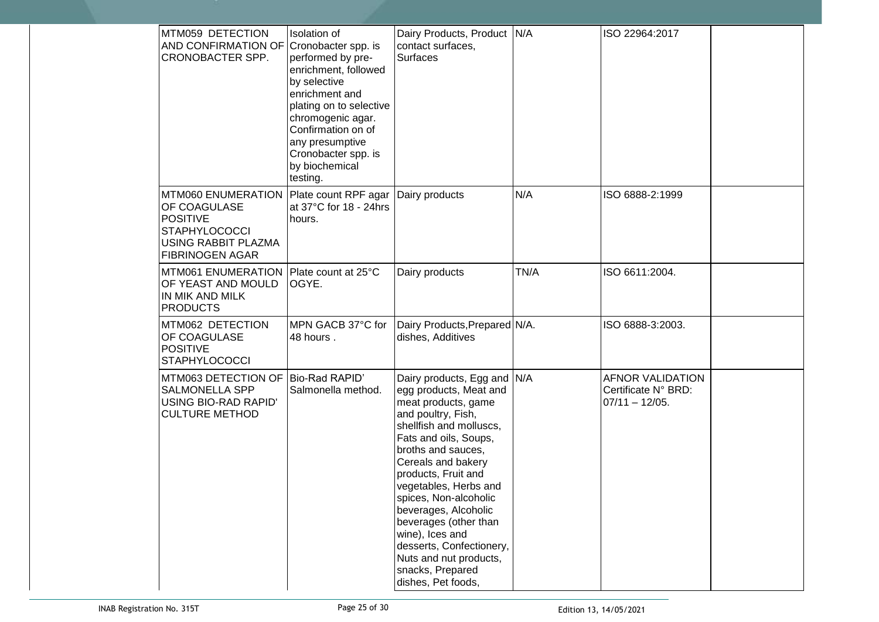| MTM059 DETECTION<br>AND CONFIRMATION OF<br>CRONOBACTER SPP.                                                                    | <b>Isolation</b> of<br>Cronobacter spp. is<br>performed by pre-<br>enrichment, followed<br>by selective<br>enrichment and<br>plating on to selective<br>chromogenic agar.<br>Confirmation on of<br>any presumptive<br>Cronobacter spp. is<br>by biochemical<br>testing. | Dairy Products, Product N/A<br>contact surfaces,<br><b>Surfaces</b>                                                                                                                                                                                                                                                                                                                                                                             |      | ISO 22964:2017                                                      |  |
|--------------------------------------------------------------------------------------------------------------------------------|-------------------------------------------------------------------------------------------------------------------------------------------------------------------------------------------------------------------------------------------------------------------------|-------------------------------------------------------------------------------------------------------------------------------------------------------------------------------------------------------------------------------------------------------------------------------------------------------------------------------------------------------------------------------------------------------------------------------------------------|------|---------------------------------------------------------------------|--|
| MTM060 ENUMERATION<br>OF COAGULASE<br><b>POSITIVE</b><br><b>STAPHYLOCOCCI</b><br>USING RABBIT PLAZMA<br><b>FIBRINOGEN AGAR</b> | Plate count RPF agar<br>at 37°C for 18 - 24hrs<br>hours.                                                                                                                                                                                                                | Dairy products                                                                                                                                                                                                                                                                                                                                                                                                                                  | N/A  | ISO 6888-2:1999                                                     |  |
| <b>MTM061 ENUMERATION</b><br>OF YEAST AND MOULD<br>IN MIK AND MILK<br><b>PRODUCTS</b>                                          | Plate count at 25°C<br>OGYE.                                                                                                                                                                                                                                            | Dairy products                                                                                                                                                                                                                                                                                                                                                                                                                                  | TN/A | ISO 6611:2004.                                                      |  |
| MTM062 DETECTION<br>OF COAGULASE<br><b>POSITIVE</b><br><b>STAPHYLOCOCCI</b>                                                    | MPN GACB 37°C for<br>48 hours.                                                                                                                                                                                                                                          | Dairy Products, Prepared N/A.<br>dishes, Additives                                                                                                                                                                                                                                                                                                                                                                                              |      | ISO 6888-3:2003.                                                    |  |
| MTM063 DETECTION OF<br><b>SALMONELLA SPP</b><br>USING BIO-RAD RAPID'<br><b>CULTURE METHOD</b>                                  | Bio-Rad RAPID'<br>Salmonella method.                                                                                                                                                                                                                                    | Dairy products, Egg and N/A<br>egg products, Meat and<br>meat products, game<br>and poultry, Fish,<br>shellfish and molluscs,<br>Fats and oils, Soups,<br>broths and sauces,<br>Cereals and bakery<br>products, Fruit and<br>vegetables, Herbs and<br>spices, Non-alcoholic<br>beverages, Alcoholic<br>beverages (other than<br>wine), Ices and<br>desserts, Confectionery,<br>Nuts and nut products,<br>snacks, Prepared<br>dishes, Pet foods, |      | <b>AFNOR VALIDATION</b><br>Certificate N° BRD:<br>$07/11 - 12/05$ . |  |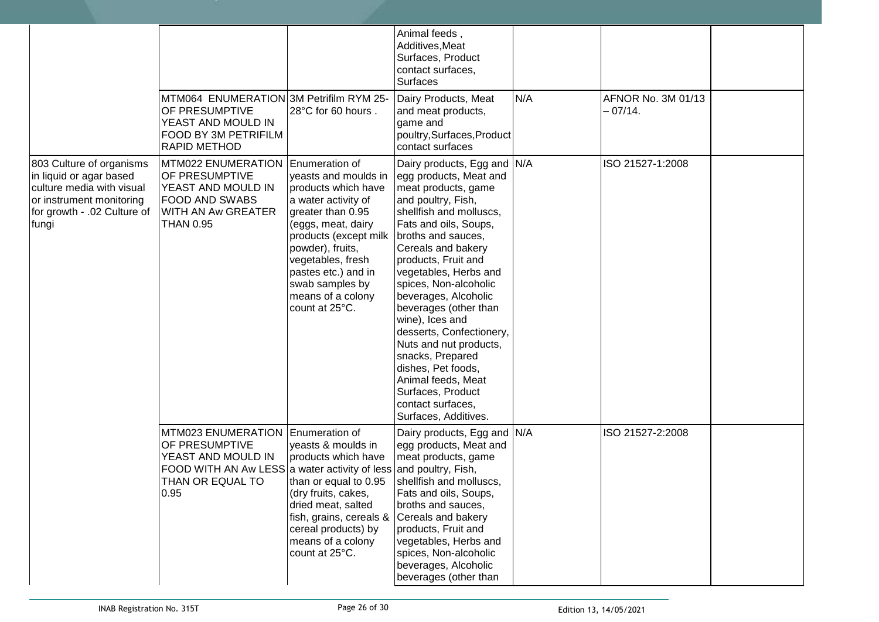|                                                                                                                                                      |                                                                                                                                                            |                                                                                                                                                                                                                                                                                     | Animal feeds,<br>Additives, Meat<br>Surfaces, Product<br>contact surfaces,<br>Surfaces                                                                                                                                                                                                                                                                                                                                                                                                                            |     |                                 |  |
|------------------------------------------------------------------------------------------------------------------------------------------------------|------------------------------------------------------------------------------------------------------------------------------------------------------------|-------------------------------------------------------------------------------------------------------------------------------------------------------------------------------------------------------------------------------------------------------------------------------------|-------------------------------------------------------------------------------------------------------------------------------------------------------------------------------------------------------------------------------------------------------------------------------------------------------------------------------------------------------------------------------------------------------------------------------------------------------------------------------------------------------------------|-----|---------------------------------|--|
|                                                                                                                                                      | MTM064 ENUMERATION 3M Petrifilm RYM 25-<br>OF PRESUMPTIVE<br>YEAST AND MOULD IN<br>FOOD BY 3M PETRIFILM<br><b>RAPID METHOD</b>                             | 28°C for 60 hours.                                                                                                                                                                                                                                                                  | Dairy Products, Meat<br>and meat products,<br>game and<br>poultry, Surfaces, Product<br>contact surfaces                                                                                                                                                                                                                                                                                                                                                                                                          | N/A | AFNOR No. 3M 01/13<br>$-07/14.$ |  |
| 803 Culture of organisms<br>in liquid or agar based<br>culture media with visual<br>or instrument monitoring<br>for growth - .02 Culture of<br>fungi | MTM022 ENUMERATION Enumeration of<br>OF PRESUMPTIVE<br>YEAST AND MOULD IN<br>FOOD AND SWABS<br>WITH AN Aw GREATER<br><b>THAN 0.95</b>                      | yeasts and moulds in<br>products which have<br>a water activity of<br>greater than 0.95<br>(eggs, meat, dairy<br>products (except milk broths and sauces,<br>powder), fruits,<br>vegetables, fresh<br>pastes etc.) and in<br>swab samples by<br>means of a colony<br>count at 25°C. | Dairy products, Egg and N/A<br>egg products, Meat and<br>meat products, game<br>and poultry, Fish,<br>shellfish and molluscs,<br>Fats and oils, Soups,<br>Cereals and bakery<br>products, Fruit and<br>vegetables, Herbs and<br>spices, Non-alcoholic<br>beverages, Alcoholic<br>beverages (other than<br>wine), Ices and<br>desserts, Confectionery,<br>Nuts and nut products,<br>snacks, Prepared<br>dishes, Pet foods,<br>Animal feeds, Meat<br>Surfaces, Product<br>contact surfaces,<br>Surfaces, Additives. |     | ISO 21527-1:2008                |  |
|                                                                                                                                                      | MTM023 ENUMERATION<br>OF PRESUMPTIVE<br>YEAST AND MOULD IN<br>FOOD WITH AN Aw LESS a water activity of less and poultry, Fish,<br>THAN OR EQUAL TO<br>0.95 | Enumeration of<br>yeasts & moulds in<br>products which have<br>than or equal to 0.95<br>(dry fruits, cakes,<br>dried meat, salted<br>fish, grains, cereals & Cereals and bakery<br>cereal products) by<br>means of a colony<br>count at 25°C.                                       | Dairy products, Egg and N/A<br>egg products, Meat and<br>meat products, game<br>shellfish and molluscs,<br>Fats and oils, Soups,<br>broths and sauces,<br>products, Fruit and<br>vegetables, Herbs and<br>spices, Non-alcoholic<br>beverages, Alcoholic<br>beverages (other than                                                                                                                                                                                                                                  |     | ISO 21527-2:2008                |  |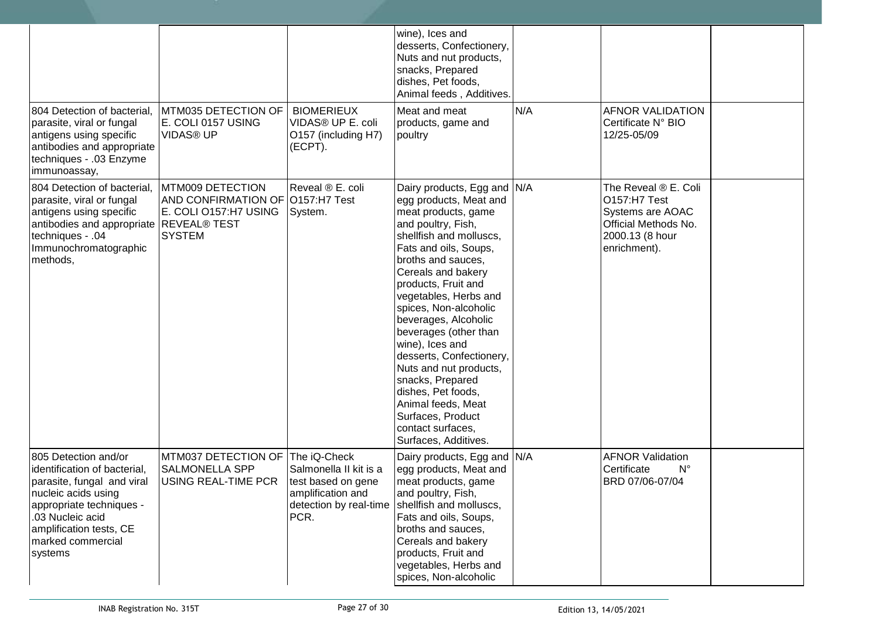| 804 Detection of bacterial,<br>parasite, viral or fungal                                                                                                                                                             | MTM035 DETECTION OF<br>E. COLI 0157 USING                                                      | <b>BIOMERIEUX</b><br>VIDAS® UP E. coli                                                    | wine), Ices and<br>desserts, Confectionery,<br>Nuts and nut products,<br>snacks, Prepared<br>dishes, Pet foods,<br>Animal feeds, Additives.<br>Meat and meat<br>products, game and                                                                                                                                                                                                                                                                                                                                                      | N/A | <b>AFNOR VALIDATION</b><br>Certificate N° BIO                                                                       |  |
|----------------------------------------------------------------------------------------------------------------------------------------------------------------------------------------------------------------------|------------------------------------------------------------------------------------------------|-------------------------------------------------------------------------------------------|-----------------------------------------------------------------------------------------------------------------------------------------------------------------------------------------------------------------------------------------------------------------------------------------------------------------------------------------------------------------------------------------------------------------------------------------------------------------------------------------------------------------------------------------|-----|---------------------------------------------------------------------------------------------------------------------|--|
| antigens using specific<br>antibodies and appropriate<br>techniques - .03 Enzyme<br>immunoassay,                                                                                                                     | <b>VIDAS® UP</b>                                                                               | O157 (including H7)<br>(ECPT).                                                            | poultry                                                                                                                                                                                                                                                                                                                                                                                                                                                                                                                                 |     | 12/25-05/09                                                                                                         |  |
| 804 Detection of bacterial,<br>parasite, viral or fungal<br>antigens using specific<br>antibodies and appropriate REVEAL® TEST<br>techniques - .04<br>Immunochromatographic<br>methods,                              | MTM009 DETECTION<br>AND CONFIRMATION OF O157:H7 Test<br>E. COLI 0157:H7 USING<br><b>SYSTEM</b> | Reveal ® E. coli<br>System.                                                               | Dairy products, Egg and N/A<br>egg products, Meat and<br>meat products, game<br>and poultry, Fish,<br>shellfish and molluscs,<br>Fats and oils, Soups,<br>broths and sauces,<br>Cereals and bakery<br>products, Fruit and<br>vegetables, Herbs and<br>spices, Non-alcoholic<br>beverages, Alcoholic<br>beverages (other than<br>wine), Ices and<br>desserts, Confectionery,<br>Nuts and nut products,<br>snacks, Prepared<br>dishes, Pet foods,<br>Animal feeds, Meat<br>Surfaces, Product<br>contact surfaces,<br>Surfaces, Additives. |     | The Reveal ® E. Coli<br>O157:H7 Test<br>Systems are AOAC<br>Official Methods No.<br>2000.13 (8 hour<br>enrichment). |  |
| 805 Detection and/or<br>identification of bacterial,<br>parasite, fungal and viral<br>nucleic acids using<br>appropriate techniques -<br>.03 Nucleic acid<br>amplification tests, CE<br>marked commercial<br>systems | MTM037 DETECTION OF<br><b>SALMONELLA SPP</b><br>USING REAL-TIME PCR                            | The iQ-Check<br>Salmonella II kit is a<br>test based on gene<br>amplification and<br>PCR. | Dairy products, Egg and N/A<br>egg products, Meat and<br>meat products, game<br>and poultry, Fish,<br>detection by real-time shellfish and molluscs,<br>Fats and oils, Soups,<br>broths and sauces,<br>Cereals and bakery<br>products, Fruit and<br>vegetables, Herbs and<br>spices, Non-alcoholic                                                                                                                                                                                                                                      |     | <b>AFNOR Validation</b><br>Certificate<br>$N^{\circ}$<br>BRD 07/06-07/04                                            |  |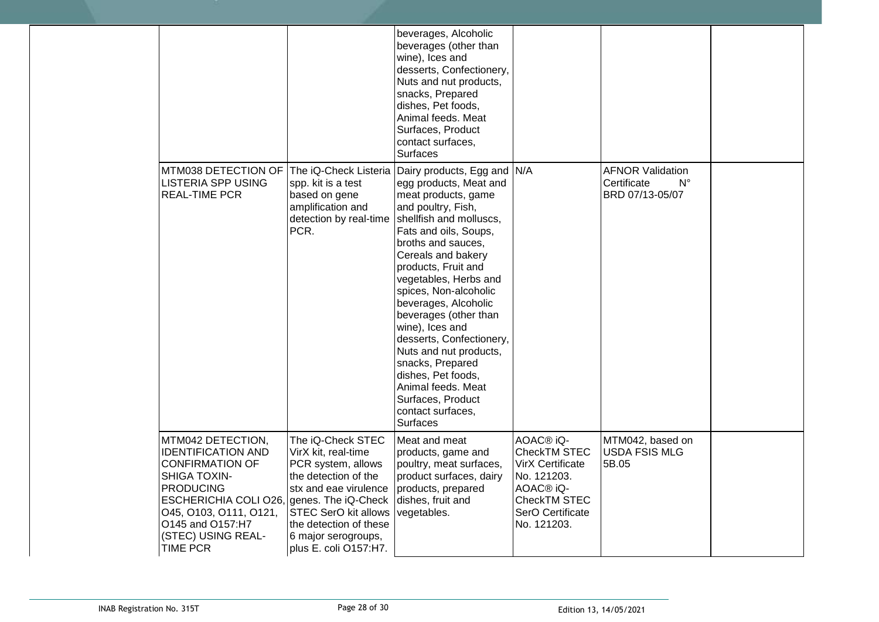|                                                                                                                                                                                                                                                                           |                                                                                                                                                                                                                          | beverages, Alcoholic<br>beverages (other than<br>wine), Ices and<br>desserts, Confectionery,<br>Nuts and nut products,<br>snacks, Prepared<br>dishes, Pet foods,<br>Animal feeds. Meat<br>Surfaces, Product<br>contact surfaces,<br><b>Surfaces</b>                                                                                                                                                                                                                                                                                                      |                                                                                                                                                             |                                                                          |  |
|---------------------------------------------------------------------------------------------------------------------------------------------------------------------------------------------------------------------------------------------------------------------------|--------------------------------------------------------------------------------------------------------------------------------------------------------------------------------------------------------------------------|----------------------------------------------------------------------------------------------------------------------------------------------------------------------------------------------------------------------------------------------------------------------------------------------------------------------------------------------------------------------------------------------------------------------------------------------------------------------------------------------------------------------------------------------------------|-------------------------------------------------------------------------------------------------------------------------------------------------------------|--------------------------------------------------------------------------|--|
| MTM038 DETECTION OF<br><b>LISTERIA SPP USING</b><br><b>REAL-TIME PCR</b>                                                                                                                                                                                                  | spp. kit is a test<br>based on gene<br>amplification and<br>detection by real-time<br>PCR.                                                                                                                               | The iQ-Check Listeria Dairy products, Egg and N/A<br>egg products, Meat and<br>meat products, game<br>and poultry, Fish,<br>shellfish and molluscs,<br>Fats and oils, Soups,<br>broths and sauces,<br>Cereals and bakery<br>products, Fruit and<br>vegetables, Herbs and<br>spices, Non-alcoholic<br>beverages, Alcoholic<br>beverages (other than<br>wine), Ices and<br>desserts, Confectionery,<br>Nuts and nut products,<br>snacks, Prepared<br>dishes, Pet foods,<br>Animal feeds. Meat<br>Surfaces, Product<br>contact surfaces,<br><b>Surfaces</b> |                                                                                                                                                             | <b>AFNOR Validation</b><br>Certificate<br>$N^{\circ}$<br>BRD 07/13-05/07 |  |
| MTM042 DETECTION,<br><b>IDENTIFICATION AND</b><br><b>CONFIRMATION OF</b><br><b>SHIGA TOXIN-</b><br><b>PRODUCING</b><br>ESCHERICHIA COLI O26, genes. The iQ-Check dishes, fruit and<br>045, 0103, 0111, 0121,<br>O145 and O157:H7<br>(STEC) USING REAL-<br><b>TIME PCR</b> | The iQ-Check STEC<br>VirX kit, real-time<br>PCR system, allows<br>the detection of the<br>stx and eae virulence<br><b>STEC SerO kit allows</b><br>the detection of these<br>6 major serogroups,<br>plus E. coli O157:H7. | Meat and meat<br>products, game and<br>poultry, meat surfaces,<br>product surfaces, dairy<br>products, prepared<br>vegetables.                                                                                                                                                                                                                                                                                                                                                                                                                           | AOAC <sup>®</sup> iQ-<br>CheckTM STEC<br><b>VirX Certificate</b><br>No. 121203.<br>AOAC <sup>®</sup> iQ-<br>CheckTM STEC<br>SerO Certificate<br>No. 121203. | MTM042, based on<br>USDA FSIS MLG<br>5B.05                               |  |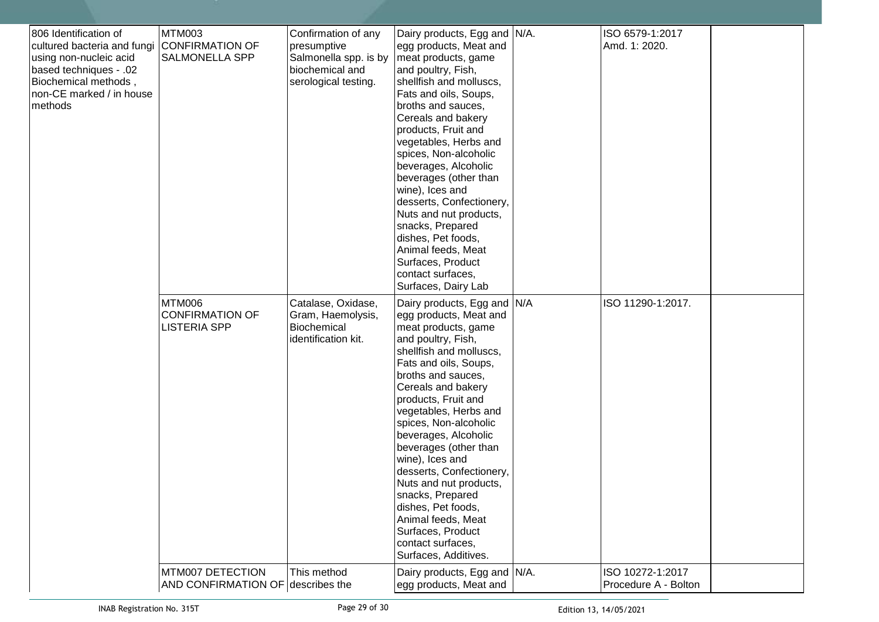| 806 Identification of<br>cultured bacteria and fungi<br>using non-nucleic acid<br><b>based techniques - .02</b><br>Biochemical methods,<br>non-CE marked / in house<br>methods | <b>MTM003</b><br><b>CONFIRMATION OF</b><br><b>SALMONELLA SPP</b> | Confirmation of any<br>presumptive<br>Salmonella spp. is by<br>biochemical and<br>serological testing. | Dairy products, Egg and N/A.<br>egg products, Meat and<br>meat products, game<br>and poultry, Fish,<br>shellfish and molluscs,<br>Fats and oils, Soups,<br>broths and sauces,<br>Cereals and bakery<br>products, Fruit and<br>vegetables, Herbs and<br>spices, Non-alcoholic<br>beverages, Alcoholic<br>beverages (other than<br>wine), Ices and<br>desserts, Confectionery,<br>Nuts and nut products,<br>snacks, Prepared<br>dishes, Pet foods,<br>Animal feeds, Meat<br>Surfaces, Product<br>contact surfaces,<br>Surfaces, Dairy Lab | ISO 6579-1:2017<br>Amd. 1: 2020.         |  |
|--------------------------------------------------------------------------------------------------------------------------------------------------------------------------------|------------------------------------------------------------------|--------------------------------------------------------------------------------------------------------|-----------------------------------------------------------------------------------------------------------------------------------------------------------------------------------------------------------------------------------------------------------------------------------------------------------------------------------------------------------------------------------------------------------------------------------------------------------------------------------------------------------------------------------------|------------------------------------------|--|
|                                                                                                                                                                                | <b>MTM006</b><br><b>CONFIRMATION OF</b><br><b>LISTERIA SPP</b>   | Catalase, Oxidase,<br>Gram, Haemolysis,<br>Biochemical<br>identification kit.                          | Dairy products, Egg and N/A<br>egg products, Meat and<br>meat products, game<br>and poultry, Fish,<br>shellfish and molluscs,<br>Fats and oils, Soups,<br>broths and sauces,<br>Cereals and bakery<br>products, Fruit and<br>vegetables, Herbs and<br>spices, Non-alcoholic<br>beverages, Alcoholic<br>beverages (other than<br>wine), Ices and<br>desserts, Confectionery,<br>Nuts and nut products,<br>snacks, Prepared<br>dishes, Pet foods,<br>Animal feeds, Meat<br>Surfaces, Product<br>contact surfaces,<br>Surfaces, Additives. | ISO 11290-1:2017.                        |  |
|                                                                                                                                                                                | MTM007 DETECTION<br>AND CONFIRMATION OF describes the            | This method                                                                                            | Dairy products, Egg and N/A.<br>egg products, Meat and                                                                                                                                                                                                                                                                                                                                                                                                                                                                                  | ISO 10272-1:2017<br>Procedure A - Bolton |  |